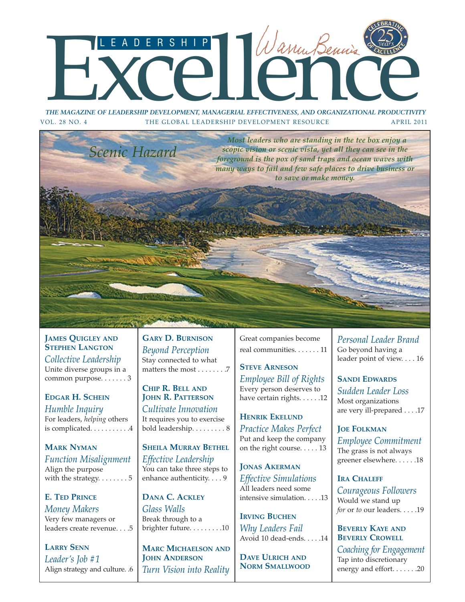# THE MAGAZINE OF LEADERSHIP DEVELOPMENT, MANAGERIAL EFFECTIVENESS, AND ORGANIZATIONAL PRODUCTIVITY

*THE MAGAZINE OF LEADERSHIP DEVELOPMENT, MANAGERIAL EFFECTIVENESS, AND ORGANIZATIONAL PRODUCTIVITY* VOL. 28 NO. 4 THE GLOBAL LEADERSHIP DEVELOPMENT RESOURCE APRIL 2011



**JAMES QUIGLEY AND STEPHEN LANGTON** *Collective Leadership* Unite diverse groups in a common purpose. . . . . . . 3

**EDGAR H. SCHEIN** *Humble Inquiry* For leaders, *helping* others is complicated. . . . . . . . . . 4

**MARK NYMAN** *Function Misalignment* Align the purpose with the strategy.  $\dots \dots 5$ 

**E. TED PRINCE** *Money Makers* Very few managers or leaders create revenue. . . .5

**LARRY SENN** *Leader's Job #1* Align strategy and culture. .6

**GARY D. BURNISON** *Beyond Perception* Stay connected to what matters the most . . . . . . . .7

**CHIP R. BELL AND JOHN R. PATTERSON** *Cultivate Innovation* It requires you to exercise bold leadership. . . . . . . . . 8

**SHEILA MURRAY BETHEL** *Effective Leadership* You can take three steps to enhance authenticity. . . . 9

**DANA C. ACKLEY** *Glass Walls* Break through to a brighter future. . . . . . . . .10

**MARC MICHAELSON AND JOHN ANDERSON** *Turn Vision into Reality* Great companies become real communities. . . . . . . 11

**STEVE ARNESON** *Employee Bill of Rights* Every person deserves to have certain rights. . . . . .12

**HENRIK EKELUND** *Practice Makes Perfect* Put and keep the company on the right course. . . . . 13

**JONAS AKERMAN** *Effective Simulations* All leaders need some intensive simulation. . . . .13

**IRVING BUCHEN** *Why Leaders Fail* Avoid 10 dead-ends. . . . .14

**DAVE ULRICH AND NORM SMALLWOOD** *Personal Leader Brand* Go beyond having a leader point of view. . . . 16

**SANDI EDWARDS** *Sudden Leader Loss* Most organizations are very ill-prepared . . . .17

**JOE FOLKMAN** *Employee Commitment* The grass is not always greener elsewhere. . . . . .18

**IRA CHALEFF** *Courageous Followers* Would we stand up *for* or *to* our leaders. . . . .19

**BEVERLY KAYE AND BEVERLY CROWELL** *Coaching for Engagement* Tap into discretionary energy and effort. . . . . . .20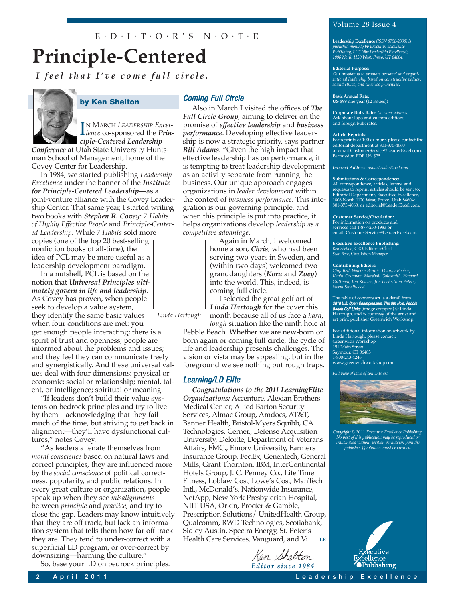### $E \cdot D \cdot I \cdot T \cdot O \cdot R$ 'S  $N \cdot O \cdot T \cdot E$

### **Principle-Centered**

*I feel that I've come full circle.*



### **by Ken Shelton**

I<sup>N</sup> MARCH LEADERSHIP Excellence co-sponsored the *Prin-*N MARCH *LEADERSHIP Excelciple-Centered Leadership*

*Conference* at Utah State University Huntsman School of Management, home of the Covey Center for Leadership.

In 1984, we started publishing *Leadership Excellence* under the banner of the *Institute for Principle-Centered Leadership*—as a joint-venture alliance with the Covey Leadership Center. That same year, I started writing two books with *Stephen R. Covey*: *7 Habits of Highly Effective People* and *Principle-Centered Leadership*. While *7 Habits* sold more

copies (one of the top 20 best-selling nonfiction books of all-time), the idea of PCL may be more useful as a leadership development paradigm.

In a nutshell, PCL is based on the notion that *Universal Principles ultimately govern in life and leadership*. As Covey has proven, when people seek to develop a value system, they identify the same basic values

when four conditions are met: you get enough people interacting; there is a spirit of trust and openness; people are informed about the problems and issues; and they feel they can communicate freely and synergistically. And these universal values deal with four dimensions: physical or economic; social or relationship; mental, talent, or intelligence; spiritual or meaning.

"If leaders don't build their value systems on bedrock principles and try to live by them—acknowledging that they fail much of the time, but striving to get back in alignment—they'll have dysfunctional cultures," notes Covey.

"As leaders alienate themselves from *moral conscience* based on natural laws and correct principles, they are influenced more by the *social conscience* of political correctness, popularity, and public relations. In every great culture or organization, people speak up when they see *misalignments* between *principle* and *practice*, and try to close the gap. Leaders may know intuitively that they are off track, but lack an information system that tells them how far off track they are. They tend to under-correct with a superficial LD program, or over-correct by downsizing—harming the culture."

So, base your LD on bedrock principles.

### Coming Full Circle

Also in March I visited the offices of *The Full Circle Group*, aiming to deliver on the promise of *effective leadership* and *business performance*. Developing effective leadership is now a strategic priority, says partner *Bill Adams*. "Given the high impact that effective leadership has on performance, it is tempting to treat leadership development as an activity separate from running the business. Our unique approach engages organizations in *leader development* within the context of *business performance*. This integration is our governing principle, and when this principle is put into practice, it helps organizations develop *leadership as a competitive advantage*.

> Again in March, I welcomed home a son, *Chris*, who had been serving two years in Sweden, and (within two days) welcomed two granddaughters (*Kora* and *Zoey*) into the world. This, indeed, is coming full circle.

I selected the great golf art of *Linda Hartough* for the cover this month because all of us face a *hard*,

*Linda Hartough*

*tough* situation like the ninth hole at Pebble Beach. Whether we are new-born or born again or coming full circle, the cycle of life and leadership presents challenges. The vision or vista may be appealing, but in the foreground we see nothing but rough traps.

### Learning/LD Elite

*Congratulations to the 2011 LearningElite Organizations:* Accenture, Alexian Brothers Medical Center, Allied Barton Security Services, Almac Group, Amdocs, AT&T, Banner Health, Bristol-Myers Squibb, CA Technologies, Cerner., Defense Acquisition University, Deloitte, Department of Veterans Affairs, EMC., Emory University, Farmers Insurance Group, FedEx, Genentech, General Mills, Grant Thornton, IBM, InterContinental Hotels Group, J. C. Penney Co., Life Time Fitness, Loblaw Cos., Lowe's Cos., ManTech Intl., McDonald's, Nationwide Insurance, NetApp, New York Presbyterian Hospital, NIIT USA, Orkin, Procter & Gamble, Prescription Solutions/ UnitedHealth Group, Qualcomm, RWD Technologies, Scotiabank, Sidley Austin, Spectra Energy, St. Peter's Health Care Services, Vanguard, and Vi. **LE**

Ken Shelt*e*n

*Editor since 1984*

### Volume 28 Issue 4

**Leadership Excellence** *(ISSN 8756-2308) is published monthly by Executive Excellence Publishing, LLC (dba Leadership Excellence), 1806 North 1120 West, Provo, UT 84604.*

#### **Editorial Purpose:**

*Our mission is to promote personal and organi-zational leadership based on constructive values, sound ethics, and timeless principles.*

**Basic Annual Rate: US** \$99 one year (12 issues))

**Corporate Bulk Rates** *(to same address)* Ask about logo and custom editions and foreign bulk rates.

#### **Article Reprints:**

For reprints of 100 or more, please contact the editorial department at 801-375-4060 or email CustomerService@LeaderExcel.com. Permission PDF US: \$75.

*Internet Address: www.LeaderExcel.com*

#### **Submissions & Correspondence:**

All correspondence, articles, letters, and requests to reprint articles should be sent to: Editorial Department, Executive Excellence, 1806 North 1120 West, Provo, Utah 84604; 801-375-4060, or editorial@LeaderExcel.com.

**Customer Service/Circulation:** For information on products and services call 1-877-250-1983 or email: CustomerService@LeaderExcel.com.

**Executive Excellence Publishing:** *Ken Shelton,* CEO, Editor-in-Chief *Sean Beck,* Circulation Manager

#### **Contributing Editors:**

*Chip Bell, Warren Bennis, Dianna Booher, Kevin Cashman, Marshall Goldsmith, Howard Guttman, Jim Kouzes, Jim Loehr, Tom Peters, Norm Smallwood*

The table of contents art is a detail from<br>**2010 U.S. Open Championship, The 9th Hole, Pebble**<br>**Beach Golf Links** (image cropped) © Linda Hartough, and is courtesy of the artist and art print publisher Greenwich Workshop*.*

For additional information on artwork by Linda Hartough, please contact: Greenwich Workshop

151 Main Street Saymour, CT 06483 1-800-243-4246 www.greenwichworkshop.com

*Full view of table of contents art.*



*Copyright © 2011 Executive Excellence Publishing. No part of this publication may be reproduced or transmitted without written permission from the publisher. Quotations must be credited.*



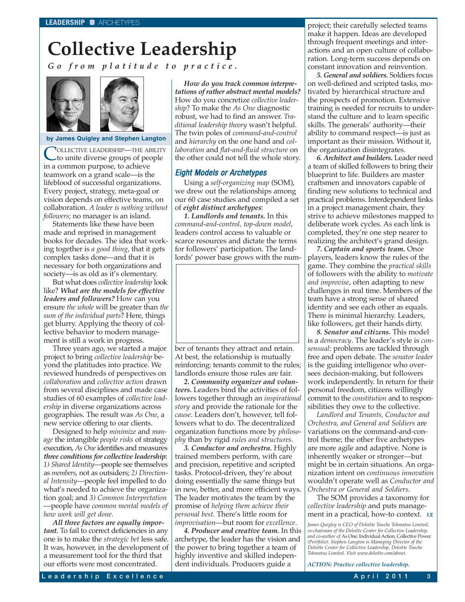# **Collective Leadership**

*Go from platitude to practice.*



#### **by James Quigley and Stephen Langton**

COLLECTIVE LEADERSHIP—THE ABILITY to unite diverse groups of people in a common purpose, to achieve teamwork on a grand scale—is the lifeblood of successful organizations. Every project, strategy, meta-goal or vision depends on effective teams, on collaboration. *A leader is nothing without followers*; no manager is an island.

Statements like these have been made and reprised in management books for decades. The idea that working together is *a good thing*, that it gets complex tasks done—and that it is necessary for both organizations and society—is as old as it's elementary.

But what does *collective leadership* look like? *What are the models for effective leaders and followers?* How can you ensure *the whole* will be greater than *the sum of the individual parts*? Here, things get blurry. Applying the theory of collective behavior to modern management is still a work in progress.

Three years ago, we started a major project to bring *collective leadership* beyond the platitudes into practice. We reviewed hundreds of perspectives on *collaboration* and *collective action* drawn from several disciplines and made case studies of 60 examples of *collective leadership* in diverse organizations across geographies. The result was *As One*, a new service offering to our clients.

Designed to help *minimize* and *manage* the intangible *people risks* of strategy execution, *As One* identifies and measures *three conditions for collective leadership*: *1) Shared Identity*—people see themselves as *members*, not as outsiders; *2) Directional Intensity*—people feel impelled to do what's needed to achieve the organization goal; and *3) Common Interpretation* —people have *common mental models of how work will get done*.

*All three factors are equally important.* To fail to correct deficiencies in any one is to make the *strategic bet* less safe. It was, however, in the development of a measurement tool for the third that our efforts were most concentrated.

*How do you track common interpretations of rather abstract mental models?* How do you concretize *collective leadership*? To make the *As One* diagnostic robust, we had to find an answer. *Traditional leadership theory* wasn't helpful. The twin poles of *command-and-control* and *hierarchy* on the one hand and *collaboration* and *flat-and-fluid structure* on the other could not tell the whole story.

### Eight Models or Archetypes

Using a *self-organizing map* (SOM), we drew out the relationships among our 60 case studies and compiled a set of *eight distinct archetypes*:

*1. Landlords and tenants.* In this *command-and-control, top-down model*, leaders control access to valuable or scarce resources and dictate the terms for followers' participation. The landlords' power base grows with the num-



ber of tenants they attract and retain. At best, the relationship is mutually reinforcing: tenants commit to the rules; landlords ensure those rules are fair.

*2. Community organizer and volunteers.* Leaders bind the activities of followers together through an *inspirational story* and provide the rationale for the *cause*. Leaders don't, however, tell followers what to do. The decentralized organization functions more by *philosophy* than by rigid *rules and structures*.

*3. Conductor and orchestra.* Highly trained members perform, with care and precision, repetitive and scripted tasks. Protocol-driven, they're about doing essentially the same things but in new, better, and more efficient ways. The leader motivates the team by the promise of *helping them achieve their personal best*. There's little room for *improvisation*—but room for *excellence*.

*4. Producer and creative team.* In this archetype, the leader has the vision and the power to bring together a team of highly inventive and skilled independent individuals. Producers guide a

project; their carefully selected teams make it happen. Ideas are developed through frequent meetings and interactions and an open culture of collaboration. Long-term success depends on constant innovation and reinvention.

*5. General and soldiers.* Soldiers focus on well-defined and scripted tasks, motivated by hierarchical structure and the prospects of promotion. Extensive training is needed for recruits to understand the culture and to learn specific skills. The generals' authority—their ability to command respect—is just as important as their mission. Without it, the organization disintegrates.

*6. Architect and builders.* Leader need a team of skilled followers to bring their blueprint to life. Builders are master craftsmen and innovators capable of finding new solutions to technical and practical problems. Interdependent links in a project management chain, they strive to achieve milestones mapped to deliberate work cycles. As each link is completed, they're one step nearer to realizing the architect's grand design.

*7. Captain and sports team.* Once players, leaders know the rules of the game. They combine the *practical skills* of followers with the ability to *motivate and improvise*, often adapting to new challenges in real time. Members of the team have a strong sense of shared identity and see each other as equals. There is minimal hierarchy. Leaders, like followers, get their hands dirty.

*8. Senator and citizens.* This model is a *democracy*. The leader's style is *consensual*: problems are tackled through free and open debate. The *senator leader* is the guiding intelligence who oversees decision-making, but followers work independently. In return for their personal freedom, citizens willingly commit to the *constitution* and to responsibilities they owe to the collective.

*Landlord and Tenants, Conductor and Orchestra, and General and Soldiers* are variations on the command-and-control theme; the other five archetypes are more agile and adaptive. None is inherently weaker or stronger—but might be in certain situations. An organization intent on *continuous innovation* wouldn't operate well as *Conductor and Orchestra or General and Soldiers*.

The SOM provides a taxonomy for *collective leadership* and puts management in a practical, how-to context. **LE**

*James Quigley is CEO of Deloitte Touche Tohmatsu Limited, co-chairman of the Deloitte Center for Collective Leadership, and co-author of* As One: Individual Action, Collective Power *(Portfolio). Stephen Langton is Managing Director of the Deloitte Center for Collective Leadership, Deloitte Touche Tohmatsu Limited. Visit www.deloitte.com/about.*

*ACTION: Practice collective leadership.*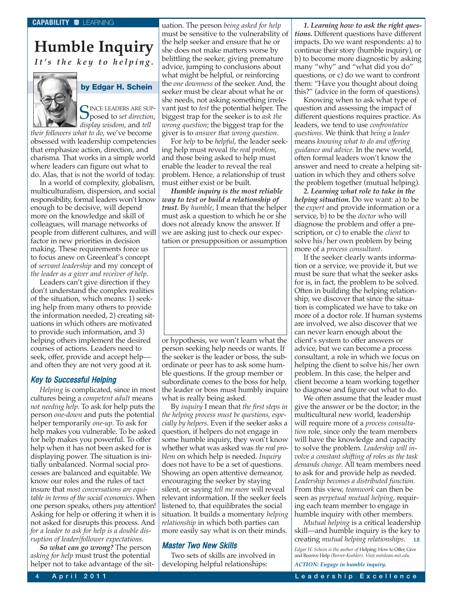### **Humble Inquiry** *It's the key to helping.*

### **by Edgar H. Schein**

SINCE LEADERS ARE SUP-<br>posed to *set direction*, *display wisdom*, and *tell*

*their followers what to do*, we've become obsessed with leadership competencies that emphasize action, direction, and charisma. That works in a simple world where leaders can figure out what to do. Alas, that is not the world of today.

In a world of complexity, globalism, multiculturalism, dispersion, and social responsibility, formal leaders won't know enough to be decisive, will depend more on the knowledge and skill of colleagues, will manage networks of people from different cultures, and will factor in new priorities in decision making. These requirements force us to focus anew on Greenleaf's concept of *servant leadership* and my concept of *the leader as a giver and receiver of help*.

Leaders can't give direction if they don't understand the complex realities of the situation, which means: 1) seeking help from many others to provide the information needed, 2) creating situations in which others are motivated to provide such information, and 3) helping others implement the desired courses of actions. Leaders need to seek, offer, provide and accept help and often they are not very good at it.

### Key to Successful Helping

*Helping* is complicated, since in most cultures being a *competent adult* means *not needing help*. To ask for help puts the person *one-down* and puts the potential helper temporarily *one-up*. To ask for help makes you vulnerable. To be asked for help makes you powerful. To offer help when it has not been asked for is displaying power. The situation is initially unbalanced. Normal social processes are balanced and equitable. We know our roles and the rules of tact insure that *most conversations are equitable in terms of the social economics*. When one person speaks, others *pay* attention! Asking for help or offering it when it is not asked for disrupts this process. And *for a leader to ask for help is a double disruption of leader/follower expectations*.

*So what can go wrong?* The person *asking for help* must trust the potential helper not to take advantage of the situation. The person *being asked for help* must be sensitive to the vulnerability of the help seeker and ensure that he or she does not make matters worse by belittling the seeker, giving premature advice, jumping to conclusions about what might be helpful, or reinforcing the *one downness* of the seeker. And, the seeker must be clear about what he or she needs, not asking something irrelevant just to *test* the potential helper. The biggest trap for the seeker is to *ask the wrong question*; the biggest trap for the giver is to *answer that wrong question*.

For *help* to be *helpful*, the leader seeking help must reveal *the real problem*, and those being asked to help must enable the leader to reveal the real problem. Hence, a relationship of trust must either exist or be built.

*Humble inquiry is the most reliable way to test or build a relationship of trust.* By *humble*, I mean that the helper must ask a question to which he or she does not already know the answer. If we are asking just to check our expectation or presupposition or assumption



or hypothesis, we won't learn what the person seeking help needs or wants. If the seeker is the leader or boss, the subordinate or peer has to ask some humble questions. If the group member or subordinate comes to the boss for help, the leader or boss must humbly inquire what is really being asked.

By *inquiry* I mean that *the first steps in the helping process must be questions, especially by helpers*. Even if the seeker asks a question, if helpers do not engage in some humble inquiry, they won't know whether what was asked was *the real problem* on which help is needed. *Inquiry* does not have to be a set of questions. Showing an open attentive demeanor, encouraging the seeker by staying silent, or saying *tell me more* will reveal relevant information. If the seeker feels listened to, that equilibrates the social situation. It builds a momentary *helping relationship* in which both parties can more easily say what is on their minds.

### Master Two New Skills

Two sets of skills are involved in developing helpful relationships:

*1. Learning how to ask the right questions.* Different questions have different impacts. Do we want respondents: a) to continue their story (humble inquiry), or b) to become more diagnostic by asking many "why" and "what did you do" questions, or c) do we want to confront them: "Have you thought about doing this?" (advice in the form of questions).

Knowing when to ask what type of question and assessing the impact of different questions requires practice. As leaders, we tend to use *confrontative questions*. We think that *being a leader* means *knowing what to do and offering guidance and advice*. In the new world, often formal leaders won't know the answer and need to create a helping situation in which they and others solve the problem together (mutual helping).

*2. Learning what role to take in the helping situation.* Do we want: a) to be the *expert* and provide information or a service, b) to be the *doctor* who will diagnose the problem and offer a prescription, or c) to enable the *client* to solve his/her own problem by being more of a *process consultant*.

If the seeker clearly wants information or a service, we provide it, but we must be sure that what the seeker asks for is, in fact, the problem to be solved. Often in building the helping relationship, we discover that since the situation is complicated we have to take on more of a doctor role. If human systems are involved, we also discover that we can never learn enough about the client's system to offer answers or advice, but we can become a process consultant, a role in which we focus on helping the client to solve his/her own problem. In this case, the helper and client become a team working together to diagnose and figure out what to do.

We often assume that the leader must give the answer or be the doctor; in the multicultural new world, leadership will require more of a *process consultation* role, since only the team members will have the knowledge and capacity to solve the problem. *Leadership will involve a constant shifting of roles as the task demands change*. All team members need to ask for and provide help as needed. *Leadership becomes a distributed function.* From this view, *teamwork* can then be seen as *perpetual mutual helping*, requiring each team member to engage in humble inquiry with other members.

*Mutual helping* is a critical leadership skill—and humble inquiry is the key to creating *mutual helping relationships*. **LE**

*Edgar H. Schein is the author of* Helping: How to Offer, Give and Receive Help *(Berret-Koehler). Visit mitsloan.mit.edu. ACTION: Engage in humble inquiry.*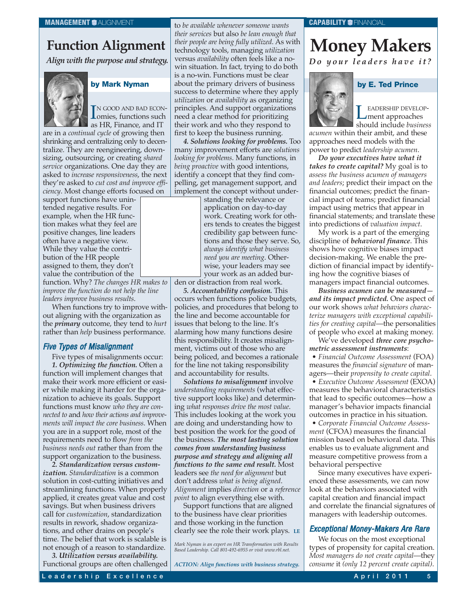### **Function Alignment**

*Align with the purpose and strategy.*



### **by Mark Nyman**

IN GOOD AND BAD ECON-<br> **Omies, functions such**<br> **Colling Einaman and IT** IN GOOD AND BAD ECONas HR, Finance, and IT

are in a *continual cycle* of growing then shrinking and centralizing only to decentralize. They are reengineering, downsizing, outsourcing, or creating *shared service* organizations. One day they are asked to *increase responsiveness*, the next they're asked to *cut cost and improve efficiency*. Most change efforts focused on

support functions have unintended negative results. For example, when the HR function makes what they feel are positive changes, line leaders often have a negative view. While they value the contribution of the HR people assigned to them, they don't value the contribution of the function. Why? *The changes HR makes to improve the function do not help the line leaders improve business results*.

When functions try to improve without aligning with the organization as the *primary* outcome, they tend to *hurt* rather than *help* business performance.

### Five Types of Misalignment

Five types of misalignments occur: *1. Optimizing the function.* Often a function will implement changes that make their work more efficient or easier while making it harder for the organization to achieve its goals. Support functions must know *who they are connected to* and *how their actions and improvements will impact the core business*. When you are in a support role, most of the requirements need to flow *from the business needs out* rather than from the support organization to the business.

*2. Standardization versus customization. Standardization* is a common solution in cost-cutting initiatives and streamlining functions. When properly applied, it creates great value and cost savings. But when business drivers call for *customization*, standardization results in rework, shadow organizations, and other drains on people's time. The belief that work is scalable is not enough of a reason to standardize.

*3. Utilization versus availability.* Functional groups are often challenged

to *be available whenever someone wants their services* but also *be lean enough that their people are being fully utilized*. As with technology tools, managing *utilization* versus *availability* often feels like a nowin situation. In fact, trying to do both is a no-win. Functions must be clear about the primary drivers of business success to determine where they apply *utilization* or *availability* as organizing principles. And support organizations need a clear method for prioritizing their work and who they respond to first to keep the business running.

*4. Solutions looking for problems.* Too many improvement efforts are *solutions looking for problems*. Many functions, in *being proactive* with good intentions, identify a concept that they find compelling, get management support, and implement the concept without under-

> standing the relevance or application on day-to-day work. Creating work for others tends to creates the biggest credibility gap between functions and those they serve. So, *always identify what business need you are meeting*. Otherwise, your leaders may see your work as an added bur-

den or distraction from real work.

*5. Accountability confusion.* This occurs when functions police budgets, policies, and procedures that belong to the line and become accountable for issues that belong to the line. It's alarming how many functions desire this responsibility. It creates misalignment, victims out of those who are being policed, and becomes a rationale for the line not taking responsibility and accountability for results.

*Solutions to misalignment* involve *understanding requirements* (what effective support looks like) and determining *what responses drive the most value*. This includes looking at the work you are doing and understanding how to best position the work for the good of the business. *The most lasting solution comes from understanding business purpose and strategy and aligning all functions to the same end result.* Most leaders see *the need for alignment* but don't address *what is being aligned*. *Alignment* implies *direction* or a *reference point* to align everything else with.

Support functions that are aligned to the business have clear priorities and those working in the function clearly see the role their work plays. **LE**

*ACTION: Align functions with business strategy.*

**Money Makers** *Do your leaders have it?*



LEADERSHIP DEVELOP-<br>
ment approaches should include *business*

**by E. Ted Prince**

*acumen* within their ambit, and these approaches need models with the power to predict *leadership acumen*.

*Do your executives have what it takes to create capital?* My goal is to *assess the business acumen of managers and leaders*; predict their impact on the financial outcomes; predict the financial impact of teams; predict financial impact using metrics that appear in financial statements; and translate these into predictions of *valuation impact*.

My work is a part of the emerging discipline of *behavioral finance*. This shows how cognitive biases impact decision-making. We enable the prediction of financial impact by identifying how the cognitive biases of managers impact financial outcomes.

*Business acumen can be measured and its impact predicted.* One aspect of our work shows *what behaviors characterize managers with exceptional capabilities for creating capital*—the personalities of people who excel at making money.

We've developed *three core psychometric assessment instruments*:

• *Financial Outcome Assessment* (FOA) measures the *financial signature* of managers—their *propensity to create capital*.

• *Executive Outcome Assessment* (EXOA) measures the behavioral characteristics that lead to specific outcomes—how a manager's behavior impacts financial outcomes in practice in his situation.

• *Corporate Financial Outcome Assessment* (CFOA) measures the financial mission based on behavioral data. This enables us to evaluate alignment and measure competitive prowess from a behavioral perspective

Since many executives have experienced these assessments, we can now look at the behaviors associated with capital creation and financial impact and correlate the financial signatures of managers with leadership outcomes.

### Exceptional Money-Makers Are Rare

We focus on the most exceptional types of propensity for capital creation. *Most managers do not create capital*—they *consume* it *(only 12 percent create capital)*.

*Mark Nyman is an expert on HR Transformation with Results Based Leadership. Call 801-492-6955 or visit www.rbl.net.*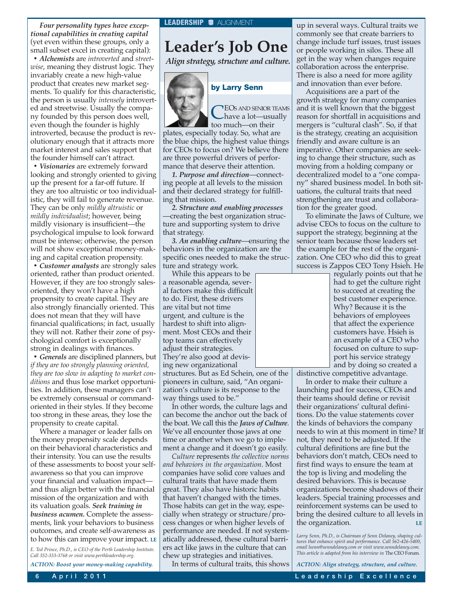*Four personality types have exceptional capabilities in creating capital* (yet even within these groups, only a small subset excel in creating capital):

*• Alchemists* are *introverted* and *streetwise*, meaning they distrust logic. They invariably create a new high-value product that creates new market segments. To qualify for this characteristic, the person is usually *intensely* introverted and streetwise. Usually the company founded by this person does well, even though the founder is highly introverted, because the product is revolutionary enough that it attracts more market interest and sales support that the founder himself can't attract.

*• Visionaries* are extremely forward looking and strongly oriented to giving up the present for a far-off future. If they are too altruistic or too individualistic, they will fail to generate revenue. They can be only *mildly altruistic* or *mildly individualist*; however, being mildly visionary is insufficient—the psychological impulse to look forward must be intense; otherwise, the person will not show exceptional money-making and capital creation propensity.

*• Customer analysts* are strongly sales oriented, rather than product oriented. However, if they are too strongly salesoriented, they won't have a high propensity to create capital. They are also strongly financially oriented. This does not mean that they will have financial qualifications; in fact, usually they will not. Rather their zone of psychological comfort is exceptionally strong in dealings with finances.

*• Generals* are disciplined planners, but *if they are too strongly planning oriented, they are too slow in adapting to market conditions* and thus lose market opportunities. In addition, these managers can't be extremely consensual or commandoriented in their styles. If they become too strong in these areas, they lose the propensity to create capital.

Where a manager or leader falls on the money propensity scale depends on their behavioral characteristics and their intensity. You can use the results of these assessments to boost your selfawareness so that you can improve your financial and valuation impact and thus align better with the financial mission of the organization and with its valuation goals. *Seek training in business acumen.* Complete the assessments, link your behaviors to business outcomes, and create self-awareness as to how this can improve your impact. **LE**

*E. Ted Prince, Ph.D., is CEO of the Perth Leadership Institute. Call 352-333-3768 or visit www.perthleadership.org.*

*ACTION: Boost your money-making capability.*

### **Leader's Job One**

*Align strategy, structure and culture.*



### **by Larry Senn**

CEOS AND SENIOR TEAMS<br>have a lot—usually<br>the grade are their too much—on their

plates, especially today. So, what are the blue chips, the highest value things for CEOs to focus on? We believe there are three powerful drivers of performance that deserve their attention.

*1. Purpose and direction*—connecting people at all levels to the mission and their declared strategy for fulfilling that mission.

*2. Structure and enabling processes* —creating the best organization structure and supporting system to drive that strategy.

*3. An enabling culture*—ensuring the behaviors in the organization are the specific ones needed to make the structure and strategy work.

While this appears to be a reasonable agenda, several factors make this difficult to do. First, these drivers are vital but not time urgent, and culture is the hardest to shift into alignment. Most CEOs and their top teams can effectively adjust their strategies. They're also good at devising new organizational

structures. But as Ed Schein, one of the pioneers in culture, said, "An organization's culture is its response to the way things used to be."

In other words, the culture lags and can become the anchor out the back of the boat. We call this the *Jaws of Culture*. We've all encounter those jaws at one time or another when we go to implement a change and it doesn't go easily.

*Culture* represents *the collective norms and behaviors in the organization*. Most companies have solid core values and cultural traits that have made them great. They also have historic habits that haven't changed with the times. Those habits can get in the way, especially when strategy or structure/process changes or when higher levels of performance are needed. If not systematically addressed, these cultural barriers act like jaws in the culture that can chew up strategies and initiatives.

In terms of cultural traits, this shows

up in several ways. Cultural traits we commonly see that create barriers to change include turf issues, trust issues or people working in silos. These all get in the way when changes require collaboration across the enterprise. There is also a need for more agility and innovation than ever before.

Acquisitions are a part of the growth strategy for many companies and it is well known that the biggest reason for shortfall in acquisitions and mergers is "cultural clash". So, if that is the strategy, creating an acquisition friendly and aware culture is an imperative. Other companies are seeking to change their structure, such as moving from a holding company or decentralized model to a "one company" shared business model. In both situations, the cultural traits that need strengthening are trust and collaboration for the greater good.

To eliminate the Jaws of Culture, we advise CEOs to focus on the culture to support the strategy, beginning at the senior team because those leaders set the example for the rest of the organization. One CEO who did this to great success is Zappos CEO Tony Hsieh. He

> regularly points out that he had to get the culture right to succeed at creating the best customer experience. Why? Because it is the behaviors of employees that affect the experience customers have. Hsieh is an example of a CEO who focused on culture to support his service strategy and by doing so created a

distinctive competitive advantage.

In order to make their culture a launching pad for success, CEOs and their teams should define or revisit their organizations' cultural definitions. Do the value statements cover the kinds of behaviors the company needs to win at this moment in time? If not, they need to be adjusted. If the cultural definitions are fine but the behaviors don't match, CEOs need to first find ways to ensure the team at the top is living and modeling the desired behaviors. This is because organizations become shadows of their leaders. Special training processes and reinforcement systems can be used to bring the desired culture to all levels in the organization.

*Larry Senn, Ph.D., is Chairman of Senn Delaney, shaping cul-tures that enhance spirit and performance. Call 562-426-5400, email lsenn@senndelaney.com or visit www.senndelaney.com. This article is adapted from his interview in* The CEO Forum*.*

*ACTION: Align strategy, structure, and culture.*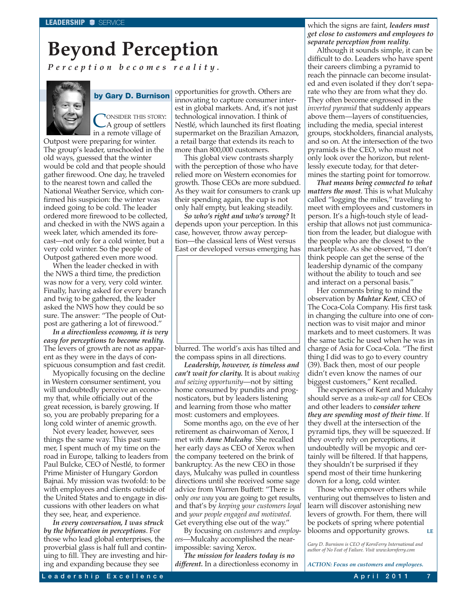# **Beyond Perception**

*Perception becomes reality.*



### **by Gary D. Burnison**

CONSIDER THIS STORY:<br>A group of settlers in a remote village of

Outpost were preparing for winter. The group's leader, unschooled in the old ways, guessed that the winter would be cold and that people should gather firewood. One day, he traveled to the nearest town and called the National Weather Service, which confirmed his suspicion: the winter was indeed going to be cold. The leader ordered more firewood to be collected, and checked in with the NWS again a week later, which amended its forecast—not only for a cold winter, but a very cold winter. So the people of Outpost gathered even more wood.

When the leader checked in with the NWS a third time, the prediction was now for a very, very cold winter. Finally, having asked for every branch and twig to be gathered, the leader asked the NWS how they could be so sure. The answer: "The people of Outpost are gathering a lot of firewood."

*In a directionless economy, it is very easy for perceptions to become reality.* The levers of growth are not as apparent as they were in the days of conspicuous consumption and fast credit.

Myopically focusing on the decline in Western consumer sentiment, you will undoubtedly perceive an economy that, while officially out of the great recession, is barely growing. If so, you are probably preparing for a long cold winter of anemic growth.

Not every leader, however, sees things the same way. This past summer, I spent much of my time on the road in Europe, talking to leaders from Paul Bulcke, CEO of Nestlé, to former Prime Minister of Hungary Gordon Bajnai. My mission was twofold: to be with employees and clients outside of the United States and to engage in discussions with other leaders on what they see, hear, and experience.

*In every conversation, I was struck by the bifurcation in perceptions*. For those who lead global enterprises, the proverbial glass is half full and continuing to fill. They are investing and hiring and expanding because they see

opportunities for growth. Others are innovating to capture consumer interest in global markets. And, it's not just technological innovation. I think of Nestlé, which launched its first floating supermarket on the Brazilian Amazon, a retail barge that extends its reach to more than 800,000 customers.

This global view contrasts sharply with the perception of those who have relied more on Western economies for growth. Those CEOs are more subdued. As they wait for consumers to crank up their spending again, the cup is not only half empty, but leaking steadily.

*So who's right and who's wrong?* It depends upon your perception. In this case, however, throw away perception—the classical lens of West versus East or developed versus emerging has



blurred. The world's axis has tilted and the compass spins in all directions.

*Leadership, however, is timeless and can't wait for clarity.* It is about *making and seizing opportunity*—not by sitting home consumed by pundits and prognosticators, but by leaders listening and learning from those who matter most: customers and employees.

Some months ago, on the eve of her retirement as chairwoman of Xerox, I met with *Anne Mulcahy*. She recalled her early days as CEO of Xerox when the company teetered on the brink of bankruptcy. As the new CEO in those days, Mulcahy was pulled in countless directions until she received some sage advice from Warren Buffett: "There is only *one way* you are going to get results, and that's by *keeping your customers loyal* and *your people engaged and motivated*. Get everything else out of the way."

By focusing on *customers* and *employees*—Mulcahy accomplished the nearimpossible: saving Xerox.

*The mission for leaders today is no different.* In a directionless economy in

which the signs are faint, *leaders must get close to customers and employees to separate perception from reality*.

Although it sounds simple, it can be difficult to do. Leaders who have spent their careers climbing a pyramid to reach the pinnacle can become insulated and even isolated if they don't separate who they are from what they do. They often become engrossed in the *inverted pyramid* that suddenly appears above them—layers of constituencies, including the media, special interest groups, stockholders, financial analysts, and so on. At the intersection of the two pyramids is the CEO, who must not only look over the horizon, but relentlessly execute today, for that determines the starting point for tomorrow.

*That means being connected to what matters the most*. This is what Mulcahy called "logging the miles," traveling to meet with employees and customers in person. It's a high-touch style of leadership that allows not just communication from the leader, but dialogue with the people who are the closest to the marketplace. As she observed, "I don't think people can get the sense of the leadership dynamic of the company without the ability to touch and see and interact on a personal basis."

Her comments bring to mind the observation by *Muhtar Kent*, CEO of The Coca-Cola Company. His first task in changing the culture into one of connection was to visit major and minor markets and to meet customers. It was the same tactic he used when he was in charge of Asia for Coca-Cola. "The first thing I did was to go to every country (39). Back then, most of our people didn't even know the names of our biggest customers," Kent recalled.

The experiences of Kent and Mulcahy should serve as a *wake-up call* for CEOs and other leaders to *consider where they are spending most of their time*. If they dwell at the intersection of the pyramid tips, they will be squeezed. If they overly rely on perceptions, it undoubtedly will be myopic and certainly will be filtered. If that happens, they shouldn't be surprised if they spend most of their time hunkering down for a long, cold winter.

Those who empower others while venturing out themselves to listen and learn will discover astonishing new levers of growth. For them, there will be pockets of spring where potential blooms and opportunity grows. **LE**

*Gary D. Burnison is CEO of KornFerry International and author of No Feat of Failure. Visit www.kornferry.com*

*ACTION: Focus on customers and employees.*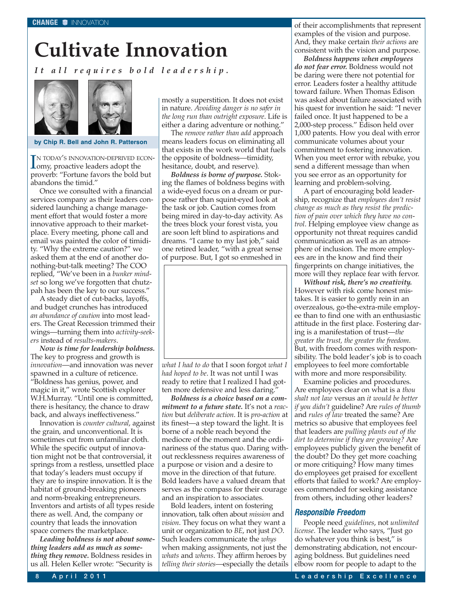# **Cultivate Innovation**

*It all requires bold leadership.*



**by Chip R. Bell and John R. Patterson**

IN TODAY'S INNOVATION-DEPRIVED EXCHANGE TO THE SURVEY OF THE SURVEY OF THE SURVEY OF THE SURVEY OF THE SURVEY OF THE SURVEY OF THE SURVEY OF THE SURVEY OF THE SURVEY OF THE SURVEY OF THE SURVEY OF THE SURVEY OF THE SURVEY N TODAY'S INNOVATION-DEPRIVED ECONproverb: "Fortune favors the bold but abandons the timid."

Once we consulted with a financial services company as their leaders considered launching a change management effort that would foster a more innovative approach to their marketplace. Every meeting, phone call and email was painted the color of timidity. "Why the extreme caution?" we asked them at the end of another donothing-but-talk meeting? The COO replied, "We've been in a *bunker mindset* so long we've forgotten that chutzpah has been the key to our success."

A steady diet of cut-backs, layoffs, and budget crunches has introduced *an abundance of caution* into most leaders. The Great Recession trimmed their wings—turning them into *activity-seekers* instead of *results-makers*.

*Now is time for leadership boldness.* The key to progress and growth is *innovation*—and innovation was never spawned in a culture of reticence. "Boldness has genius, power, and magic in it," wrote Scottish explorer W.H.Murray. "Until one is committed, there is hesitancy, the chance to draw back, and always ineffectiveness."

Innovation is *counter cultural*, against the grain, and unconventional. It is sometimes cut from unfamiliar cloth. While the specific output of innovation might not be that controversial, it springs from a restless, unsettled place that today's leaders must occupy if they are to inspire innovation. It is the habitat of ground-breaking pioneers and norm-breaking entrepreneurs. Inventors and artists of all types reside there as well. And, the company or country that leads the innovation space corners the marketplace.

*Leading boldness is not about something leaders add as much as something they remove.* Boldness resides in us all. Helen Keller wrote: "Security is

mostly a superstition. It does not exist in nature. *Avoiding danger is no safer in the long run than outright exposure*. Life is either a daring adventure or nothing."

The *remove rather than add* approach means leaders focus on eliminating all that exists in the work world that fuels the opposite of boldness—timidity, hesitance, doubt, and reserve).

*Boldness is borne of purpose.* Stoking the flames of boldness begins with a wide-eyed focus on a dream or purpose rather than squint-eyed look at the task or job. Caution comes from being mired in day-to-day activity. As the trees block your forest vista, you are soon left blind to aspirations and dreams. "I came to my last job," said one retired leader, "with a great sense of purpose. But, I got so enmeshed in



*what I had to do* that I soon forgot *what I had hoped to be*. It was not until I was ready to retire that I realized I had gotten more defensive and less daring."

*Boldness is a choice based on a commitment to a future state.* It's not a *reaction* but *deliberate action*. It is *pro-action* at its finest—a step toward the light. It is borne of a noble reach beyond the mediocre of the moment and the ordinariness of the status quo. Daring without recklessness requires awareness of a purpose or vision and a desire to move in the direction of that future. Bold leaders have a valued dream that serves as the compass for their courage and an inspiration to associates.

Bold leaders, intent on fostering innovation, talk often about *mission* and *vision*. They focus on what they want a unit or organization to *BE*, not just *DO*. Such leaders communicate the *whys* when making assignments, not just the *whats* and *whens*. They affirm heroes by *telling their stories*—especially the details of their accomplishments that represent examples of the vision and purpose. And, they make certain *their actions* are consistent with the vision and purpose.

*Boldness happens when employees do not fear error.* Boldness would not be daring were there not potential for error. Leaders foster a healthy attitude toward failure. When Thomas Edison was asked about failure associated with his quest for invention he said: "I never failed once. It just happened to be a 2,000-step process." Edison held over 1,000 patents. How you deal with error communicate volumes about your commitment to fostering innovation. When you meet error with rebuke, you send a different message than when you see error as an opportunity for learning and problem-solving.

A part of encouraging bold leadership, recognize that *employees don't resist change as much as they resist the prediction of pain over which they have no control*. Helping employee view change as opportunity not threat requires candid communication as well as an atmosphere of inclusion. The more employees are in the know and find their fingerprints on change initiatives, the more will they replace fear with fervor.

*Without risk, there's no creativity.* However with risk come honest mistakes. It is easier to gently rein in an overzealous, go-the-extra-mile employee than to find one with an enthusiastic attitude in the first place. Fostering daring is a manifestation of trust—*the greater the trust, the greater the freedom*. But, with freedom comes with responsibility. The bold leader's job is to coach employees to feel more comfortable with more and more responsibility.

Examine policies and procedures. Are employees clear on what is a *thou shalt not law* versus an *it would be better if you didn't* guideline? Are *rules of thumb* and *rules of law* treated the same? Are metrics so abusive that employees feel that leaders are *pulling plants out of the dirt to determine if they are growing?* Are employees publicly given the benefit of the doubt? Do they get more coaching or more critiquing? How many times do employees get praised for excellent efforts that failed to work? Are employees commended for seeking assistance from others, including other leaders?

### Responsible Freedom

People need *guidelines*, not *unlimited license*. The leader who says, "Just go do whatever you think is best," is demonstrating abdication, not encouraging boldness. But guidelines need elbow room for people to adapt to the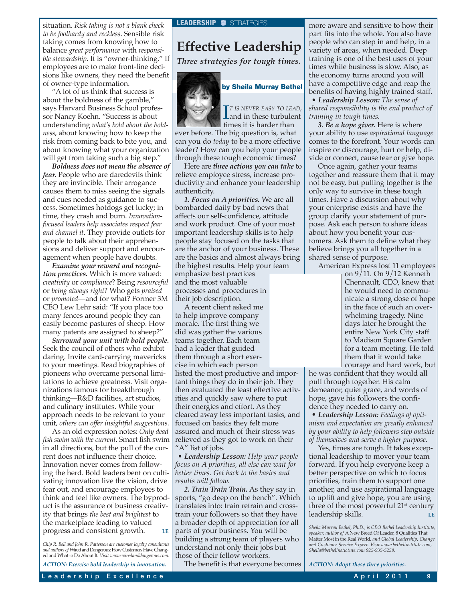situation. *Risk taking is not a blank check* **LEADERSHIP** STRATEGIES *to be foolhardy and reckless*. Sensible risk taking comes from knowing how to balance *great performance* with *responsible stewardship*. It is "owner-thinking." If employees are to make front-line decisions like owners, they need the benefit of owner-type information.

"A lot of us think that success is about the boldness of the gamble," says Harvard Business School professor Nancy Koehn. "Success is about understanding *what's bold about the boldness*, about knowing how to keep the risk from coming back to bite you, and about knowing what your organization will get from taking such a big step."

*Boldness does not mean the absence of fear.* People who are daredevils think they are invincible. Their arrogance causes them to miss seeing the signals and cues needed as guidance to success. Sometimes hotdogs get lucky; in time, they crash and burn. *Innovationfocused leaders help associates respect fear and channel it*. They provide outlets for people to talk about their apprehensions and deliver support and encouragement when people have doubts.

*Examine your reward and recognition practices.* Which is more valued: *creativity* or *compliance*? Being *resourceful* or *being always right*? Who gets *praised* or *promoted*—and for what? Former 3M CEO Lew Lehr said: "If you place too many fences around people they can easily become pastures of sheep. How many patents are assigned to sheep?"

*Surround your unit with bold people.* Seek the council of others who exhibit daring. Invite card-carrying mavericks to your meetings. Read biographies of pioneers who overcame personal limitations to achieve greatness. Visit organizations famous for breakthrough thinking—R&D facilities, art studios, and culinary institutes. While your approach needs to be relevant to your unit, *others can offer insightful suggestions*.

As an old expression notes: *Only dead fish swim with the current*. Smart fish swim in all directions, but the pull of the current does not influence their choice. Innovation never comes from following the herd. Bold leaders bent on cultivating innovation live the vision, drive fear out, and encourage employees to think and feel like owners. The byproduct is the assurance of business creativity that brings *the best and brightest* to the marketplace leading to valued progress and consistent growth. **LE**

*Chip R. Bell and John R. Patterson are customer loyalty consultants and authors of* Wired and Dangerous: How Customers Have Changed and What to Do About It*. Visit www.wiredanddangerous.com.*

*ACTION: Exercise bold leadership in innovation.*

### **Effective Leadership**

*Three strategies for tough times.*



**by Sheila Murray Bethel**

 $\prod_{\text{and in these turbulent}}$ *T IS NEVER EASY TO LEAD,* times it is harder than

ever before. The big question is, what can you do *today* to be a more effective leader? How can you help your people through these tough economic times?

Here are *three actions you can take* to relieve employee stress, increase productivity and enhance your leadership authenticity.

*1. Focus on A priorities.* We are all bombarded daily by bad news that affects our self-confidence, attitude and work product. One of your most important leadership skills is to help people stay focused on the tasks that are the anchor of your business. These are the basics and almost always bring the highest results. Help your team

emphasize best practices and the most valuable processes and procedures in their job description.

A recent client asked me to help improve company morale. The first thing we did was gather the various teams together. Each team had a leader that guided them through a short exercise in which each person

listed the most productive and important things they do in their job. They then evaluated the least effective activities and quickly saw where to put their energies and effort. As they cleared away less important tasks, and focused on basics they felt more assured and much of their stress was relieved as they got to work on their "A" list of jobs.

• *Leadership Lesson: Help your people focus on A priorities, all else can wait for better times. Get back to the basics and results will follow.*

*2. Train Train Train.* As they say in sports, "go deep on the bench". Which translates into: train retrain and crosstrain your followers so that they have a broader depth of appreciation for all parts of your business. You will be building a strong team of players who understand not only their jobs but those of their fellow workers.

The benefit is that everyone becomes

more aware and sensitive to how their part fits into the whole. You also have people who can step in and help, in a variety of areas, when needed. Deep training is one of the best uses of your times while business is slow. Also, as the economy turns around you will have a competitive edge and reap the benefits of having highly trained staff.

• *Leadership Lesson: The sense of shared responsibility is the end product of training in tough times.*

*3. Be a hope giver.* Here is where your ability to use *aspirational language* comes to the forefront. Your words can inspire or discourage, hurt or help, divide or connect, cause fear or give hope.

Once again, gather your teams together and reassure them that it may not be easy, but pulling together is the only way to survive in these tough times. Have a discussion about why your enterprise exists and have the group clarify your statement of purpose. Ask each person to share ideas about how you benefit your customers. Ask them to define what they believe brings you all together in a shared sense of purpose.

American Express lost 11 employees

on 9/11. On 9/12 Kenneth Chennault, CEO, knew that he would need to communicate a strong dose of hope in the face of such an overwhelming tragedy. Nine days later he brought the entire New York City staff to Madison Square Garden for a team meeting. He told them that it would take courage and hard work, but

he was confident that they would all pull through together. His calm demeanor, quiet grace, and words of hope, gave his followers the confidence they needed to carry on.

• *Leadership Lesson: Feelings of optimism and expectation are greatly enhanced by your ability to help followers step outside of themselves and serve a higher purpose.*

Yes, times are tough. It takes exceptional leadership to mover your team forward. If you help everyone keep a better perspective on which to focus priorities, train them to support one another, and use aspirational language to uplift and give hope, you are using three of the most powerful 21<sup>st</sup> century leadership skills.

*Sheila Murray Bethel, Ph.D., is CEO Bethel Leadership Institute, speaker, author of* A New Breed Of Leader, 8 Qualities That Matter Most in the Real World*, and Global Leadership, Change and Customer Service Expert. Visit www.bethelinstitute.com, Sheila@bethelinstiotute.com 925-935-5258.*

*ACTION: Adopt these three priorities.*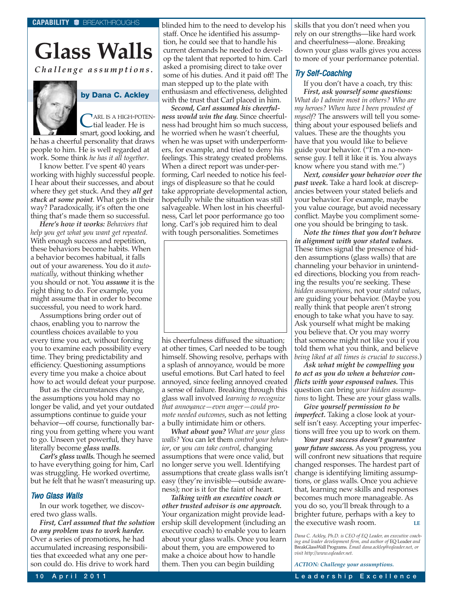# **Glass Walls**

*Challenge assumptions.*



**by Dana C. Ackley**

ARL IS A HIGH-POTENtial leader. He is

smart, good looking, and he has a cheerful personality that draws people to him. He is well regarded at work. Some think *he has it all together*.

I know better. I've spent 40 years working with highly successful people. I hear about their successes, and about where they get stuck. And they *all get stuck at some point*. What gets in their way? Paradoxically, it's often the one thing that's made them so successful.

*Here's how it works: Behaviors that help you get what you want get repeated*. With enough success and repetition, these behaviors become habits. When a behavior becomes habitual, it falls out of your awareness. You do it *automatically*, without thinking whether you should or not. You *assume* it is the right thing to do. For example, you might assume that in order to become successful, you need to work hard.

Assumptions bring order out of chaos, enabling you to narrow the countless choices available to you every time you act, without forcing you to examine each possibility every time. They bring predictability and efficiency. Questioning assumptions every time you make a choice about how to act would defeat your purpose.

But as the circumstances change, the assumptions you hold may no longer be valid, and yet your outdated assumptions continue to guide your behavior—off course, functionally barring you from getting where you want to go. Unseen yet powerful, they have literally become *glass walls*.

*Carl's glass walls.* Though he seemed to have everything going for him, Carl was struggling. He worked overtime, but he felt that he wasn't measuring up.

### Two Glass Walls

In our work together, we discovered two glass walls.

*First, Carl assumed that the solution to any problem was to work harder.* Over a series of promotions, he had accumulated increasing responsibilities that exceeded what any one person could do. His drive to work hard

blinded him to the need to develop his staff. Once he identified his assumption, he could see that to handle his current demands he needed to develop the talent that reported to him. Carl asked a promising direct to take over some of his duties. And it paid off! The man stepped up to the plate with enthusiasm and effectiveness, delighted with the trust that Carl placed in him.

*Second, Carl assumed his cheerfulness would win the day.* Since cheerfulness had brought him so much success, he worried when he wasn't cheerful, when he was upset with underperformers, for example, and tried to deny his feelings. This strategy created problems. When a direct report was under-performing, Carl needed to notice his feelings of displeasure so that he could take appropriate developmental action, hopefully while the situation was still salvageable. When lost in his cheerfulness, Carl let poor performance go too long. Carl's job required him to deal with tough personalities. Sometimes



his cheerfulness diffused the situation; at other times, Carl needed to be tough himself. Showing resolve, perhaps with a splash of annoyance, would be more useful emotions. But Carl hated to feel annoyed, since feeling annoyed created a sense of failure. Breaking through this glass wall involved *learning to recognize that annoyance—even anger—could promote needed outcomes*, such as not letting a bully intimidate him or others.

*What about you? What are your glass walls?* You can let them *control your behavior*, or *you can take control*, changing assumptions that were once valid, but no longer serve you well. Identifying assumptions that create glass walls isn't easy (they're invisible—outside awareness); nor is it for the faint of heart.

*Talking with an executive coach or other trusted advisor is one approach.* Your organization might provide leadership skill development (including an executive coach) to enable you to learn about your glass walls. Once you learn about them, you are empowered to make a choice about how to handle them. Then you can begin building

skills that you don't need when you rely on our strengths—like hard work and cheerfulness—alone. Breaking down your glass walls gives you access to more of your performance potential.

### Try Self-Coaching

If you don't have a coach, try this: *First, ask yourself some questions: What do I admire most in others? Who are my heroes? When have I been proudest of myself?* The answers will tell you something about your espoused beliefs and values. These are the thoughts you have that you would like to believe guide your behavior. ("I'm a no-nonsense guy. I tell it like it is. You always know where you stand with me.")

*Next, consider your behavior over the past week.* Take a hard look at discrepancies between your stated beliefs and your behavior. For example, maybe you value courage, but avoid necessary conflict. Maybe you compliment someone you should be bringing to task.

*Note the times that you don't behave in alignment with your stated values.* These times signal the presence of hidden assumptions (glass walls) that are channeling your behavior in unintended directions, blocking you from reaching the results you're seeking. These *hidden assumptions*, not your *stated values*, are guiding your behavior. (Maybe you really think that people aren't strong enough to take what you have to say. Ask yourself what might be making you believe that. Or you may worry that someone might not like you if you told them what you think, and believe *being liked at all times is crucial to success*.)

*Ask what might be compelling you to act as you do when a behavior conflicts with your espoused values.* This question can bring *your hidden assumptions* to light. These are your glass walls.

*Give yourself permission to be imperfect.* Taking a close look at yourself isn't easy. Accepting your imperfections will free you up to work on them.

*Your past success doesn't guarantee your future success.* As you progress, you will confront new situations that require changed responses. The hardest part of change is identifying limiting assumptions, or glass walls. Once you achieve that, learning new skills and responses becomes much more manageable. As you do so, you'll break through to a brighter future, perhaps with a key to the executive wash room. **LE**

*Dana C. Ackley, Ph.D. is CEO of EQ Leader, an executive coaching and leader development firm, and author of* EQ Leader *and* BreakGlassWall Programs*. Email dana.ackley@eqleader.net, or visit http://www.eqleader.net.*

*ACTION: Challenge your assumptions.*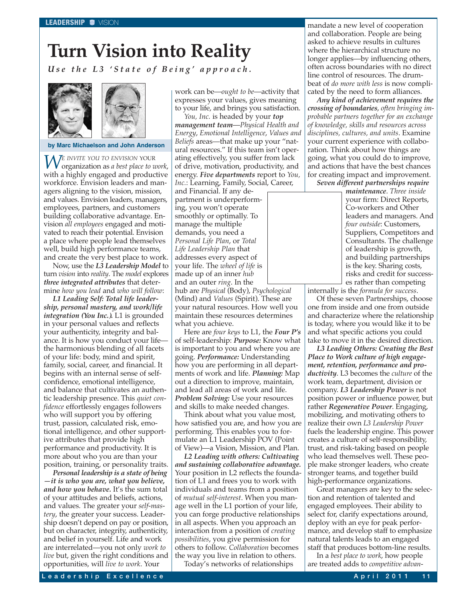# **Turn Vision into Reality**

*Use the L3 'State of Being' approach.*





#### **by Marc Michaelson and John Anderson**

*WE INVITE YOU TO ENVISION* YOUR organization as *a best place to work*, with a highly engaged and productive workforce. Envision leaders and managers aligning to the vision, mission, and values. Envision leaders, managers, employees, partners, and customers building collaborative advantage. Envision *all employees* engaged and motivated to reach their potential. Envision a place where people lead themselves well, build high performance teams, and create the very best place to work.

Now, use the *L3 Leadership Model* to turn *vision* into *reality*. The *model* explores *three integrated attributes* that determine *how you lead* and *who will follow*:

*L1 Leading Self: Total life leadership, personal mastery, and work/life integration (You Inc.).* L1 is grounded in your personal values and reflects your authenticity, integrity and balance. It is how you conduct your life the harmonious blending of all facets of your life: body, mind and spirit, family, social, career, and financial. It begins with an internal sense of selfconfidence, emotional intelligence, and balance that cultivates an authentic leadership presence. This *quiet confidence* effortlessly engages followers who will support you by offering trust, passion, calculated risk, emotional intelligence, and other supportive attributes that provide high performance and productivity. It is more about who you are than your position, training, or personality traits.

*Personal leadership is a state of being —it is who you are, what you believe, and how you behave.* It's the sum total of your attitudes and beliefs, actions, and values. The greater your *self-mastery*, the greater your success. Leadership doesn't depend on pay or position, but on character, integrity, authenticity, and belief in yourself. Life and work are interrelated—you not only *work to live* but, given the right conditions and opportunities, will *live to work*. Your

work can be—*ought to be*—activity that expresses your values, gives meaning to your life, and brings you satisfaction.

*You, Inc.* is headed by your *top management team*—*Physical Health and Energy*, *Emotional Intelligence*, *Values and Beliefs* areas—that make up your "natural resources." If this team isn't operating effectively, you suffer from lack of drive, motivation, productivity, and energy. *Five departments* report to *You, Inc.*: Learning, Family, Social, Career,

and Financial. If any department is underperforming, you won't operate smoothly or optimally. To manage the multiple demands, you need a *Personal Life Plan*, or *Total Life Leadership Plan* that addresses every aspect of your life. The *wheel of life* is made up of an inner *hub* and an outer *ring*. In the

hub are *Physical* (Body), *Psychological* (Mind) and *Values* (Spirit). These are your natural resources. How well you maintain these resources determines what you achieve.

Here are *four keys* to L1, the *Four P's* of self-leadership: *Purpose:* Know what is important to you and where you are going. *Performance:* Understanding how you are performing in all departments of work and life. *Planning:* Map out a direction to improve, maintain, and lead all areas of work and life. *Problem Solving:* Use your resources and skills to make needed changes.

Think about what you value most, how satisfied you are, and how you are performing. This enables you to formulate an L1 Leadership POV (Point of View)—a Vision, Mission, and Plan.

*L2 Leading with others: Cultivating and sustaining collaborative advantage.* Your position in L2 reflects the foundation of L1 and frees you to work with individuals and teams from a position of *mutual self-interest*. When you manage well in the L1 portion of your life, you can forge productive relationships in all aspects. When you approach an interaction from a position of *creating possibilities*, you give permission for others to follow. *Collaboration* becomes the way you live in relation to others.

Today's networks of relationships

mandate a new level of cooperation and collaboration. People are being asked to achieve results in cultures where the hierarchical structure no longer applies—by influencing others, often across boundaries with no direct line control of resources. The drumbeat of *do more with less* is now complicated by the need to form alliances.

*Any kind of achievement requires the crossing of boundaries*, *often bringing improbable partners together for an exchange of knowledge, skills and resources across disciplines, cultures, and units*. Examine your current experience with collaboration. Think about how things are going, what you could do to improve, and actions that have the best chances for creating impact and improvement.

*Seven different partnerships require*

*maintenance*. *Three inside* your firm: Direct Reports, Co-workers and Other leaders and managers. And *four outside*: Customers, Suppliers, Competitors and Consultants. The challenge of leadership is growth, and building partnerships is the key. Sharing costs, risks and credit for successes rather than competing

internally is the *formula for success*.

Of these seven Partnerships, choose one from inside and one from outside and characterize where the relationship is today, where you would like it to be and what specific actions you could take to move it in the desired direction.

*L3 Leading Others: Creating the Best Place to Work culture of high engagement, retention, performance and productivity*. L3 becomes the *culture* of the work team, department, division or company. *L3 Leadership Power* is not position power or influence power, but rather *Regenerative Power*. Engaging, mobilizing, and motivating others to realize their own *L3 Leadership Power* fuels the leadership engine. This power creates a culture of self-responsibility, trust, and risk-taking based on people who lead themselves well. These people make stronger leaders, who create stronger teams, and together build high-performance organizations.

Great managers are key to the selection and retention of talented and engaged employees. Their ability to select for, clarify expectations around, deploy with an eye for peak performance, and develop staff to emphasize natural talents leads to an engaged staff that produces bottom-line results.

In a *best place to work*, how people are treated adds to *competitive advan-*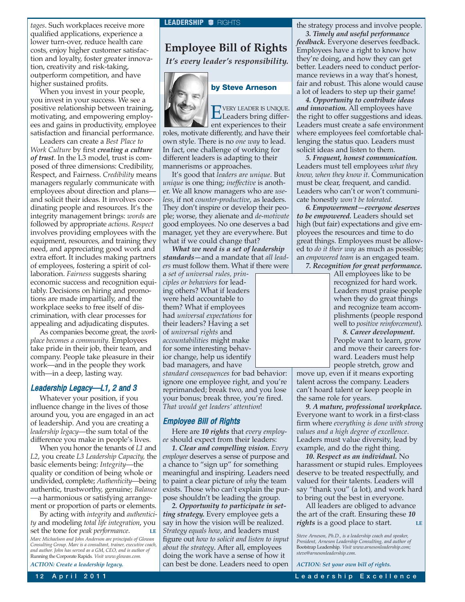*tages*. Such workplaces receive more qualified applications, experience a lower turn-over, reduce health care costs, enjoy higher customer satisfaction and loyalty, foster greater innovation, creativity and risk-taking, outperform competition, and have higher sustained profits.

When you invest in your people, you invest in your success. We see a positive relationship between training, motivating, and empowering employees and gains in productivity, employee satisfaction and financial performance.

Leaders can create a *Best Place to Work Culture* by first *creating a culture of trust*. In the L3 model, trust is composed of three dimensions: Credibility, Respect, and Fairness. *Credibility* means managers regularly communicate with employees about direction and plans and solicit their ideas. It involves coordinating people and resources. It's the integrity management brings: *words* are followed by appropriate *actions*. *Respect* involves providing employees with the equipment, resources, and training they need, and appreciating good work and extra effort. It includes making partners of employees, fostering a spirit of collaboration. *Fairness* suggests sharing economic success and recognition equitably. Decisions on hiring and promotions are made impartially, and the workplace seeks to free itself of discrimination, with clear processes for appealing and adjudicating disputes.

As companies become great, the *workplace becomes a community*. Employees take pride in their job, their team, and company. People take pleasure in their work—and in the people they work with—in a deep, lasting way.

### Leadership Legacy—L1, 2 and 3

Whatever your position, if you influence change in the lives of those around you, you are engaged in an act of leadership. And you are creating a *leadership legacy*—the sum total of the difference you make in people's lives.

When you honor the tenants of *L1* and *L2*, you create *L3 Leadership Capacity,* the basic elements being: *Integrity*—the quality or condition of being whole or undivided, complete; *Authenticity*—being authentic, trustworthy, genuine; *Balance* —a harmonious or satisfying arrangement or proportion of parts or elements.

By acting with *integrity* and *authenticity* and modeling *total life integration*, you set the tone for *peak performance*.

*Marc Michaelson and John Anderson are principals of Glowan Consulting Group. Marc is a consultant, trainer, executive coach, and author. John has served as a GM, CEO, and is author of* Running the Corporate Rapids*. Visit www.glowan.com.*

*ACTION: Create a leadership legacy.*

### **Employee Bill of Rights**

*It's every leader's responsibility.*



### **by Steve Arneson**

EVERY LEADER IS UNIQUE. Leaders bring differ-

ent experiences to their roles, motivate differently, and have their own style. There is no *one way* to lead. In fact, one challenge of working for different leaders is adapting to their mannerisms or approaches.

It's good that *leaders are unique*. But *unique* is one thing; *ineffective* is another. We all know managers who are *useless*, if not *counter-productive*, as leaders. They don't inspire or develop their people; worse, they alienate and *de-motivate* good employees. No one deserves a bad manager, yet they are everywhere. But what if we could change that?

*What we need is a set of leadership standards—*and a mandate that *all leaders* must follow them. What if there were

a *set of universal rules, principles or behaviors* for leading others? What if leaders were held accountable to them? What if employees had *universal expectations* for their leaders? Having a set of *universal rights* and *accountabilities* might make for some interesting behavior change, help us identify bad managers, and have

*standard consequences* for bad behavior: ignore one employee right, and you're reprimanded; break two, and you lose your bonus; break three, you're fired. *That would get leaders' attention*!

### Employee Bill of Rights

Here are *10 rights* that *every employee* should expect from their leaders:

*1. Clear and compelling vision. Every employee* deserves a sense of purpose and a chance to "sign up" for something meaningful and inspiring. Leaders need to paint a clear picture of *why* the team exists. Those who can't explain the purpose shouldn't be leading the group.

*2. Opportunity to participate in setting strategy.* Every employee gets a say in how the vision will be realized. *Strategy equals how*, and leaders must figure out *how to solicit and listen to input about the strategy*. After all, employees doing the work have a sense of how it can best be done. Leaders need to open the strategy process and involve people.

*3. Timely and useful performance feedback.* Everyone deserves feedback. Employees have a right to know how they're doing, and how they can get better. Leaders need to conduct performance reviews in a way that's honest, fair and robust. This alone would cause a lot of leaders to step up their game!

*4. Opportunity to contribute ideas and innovation.* All employees have the right to offer suggestions and ideas. Leaders must create a safe environment where employees feel comfortable challenging the status quo. Leaders must solicit ideas and listen to them.

*5. Frequent, honest communication.* Leaders must tell employees *what they know, when they know it*. Communication must be clear, frequent, and candid. Leaders who can't or won't communicate honestly *won't be tolerated*.

*6. Empowerment—everyone deserves to be empowered.* Leaders should set high (but fair) expectations and give employees the resources and time to do great things. Employees must be allowed to *do it their way* as much as possible; an *empowered team* is an engaged team. *7. Recognition for great performance.*

All employees like to be recognized for hard work. Leaders must praise people when they do great things and recognize team accomplishments (people respond well to *positive reinforcement*).

*8. Career development.* People want to learn, grow and move their careers forward. Leaders must help people stretch, grow and

move up, even if it means exporting talent across the company. Leaders can't hoard talent or keep people in the same role for years.

*9. A mature, professional workplace.* Everyone want to work in a first-class firm where *everything is done with strong values and a high degree of excellence*. Leaders must value diversity, lead by example, and do the right thing.

*10. Respect as an individual.* No harassment or stupid rules. Employees deserve to be treated respectfully, and valued for their talents. Leaders will say "thank you" (a lot), and work hard to bring out the best in everyone.

All leaders are obliged to advance the art of the craft. Ensuring these *10 rights* is a good place to start. **LE**

*Steve Arneson, Ph.D., is a leadership coach and speaker, President, Arneson Leadership Consulting, and author of* Bootstrap Leadership*. Visit www.arnesonleadership.com; steve@arnesonleadership.com.*

*ACTION: Set your own bill of rights.*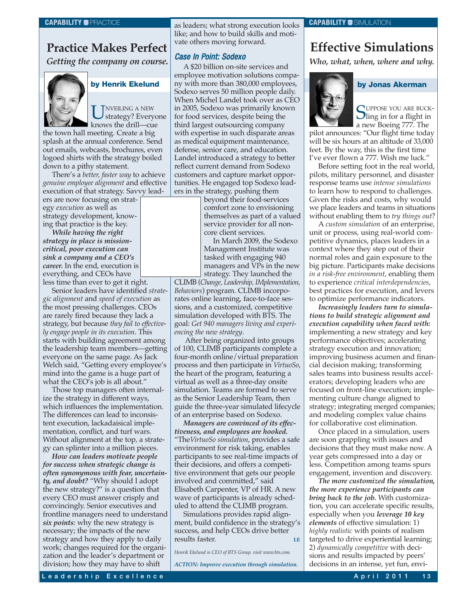### **Practice Makes Perfect**

*Getting the company on course.*



### **by Henrik Ekelund**

UNVEILING A NEW<br>strategy? Everyone knows the drill—cue

the town hall meeting. Create a big splash at the annual conference. Send out emails, webcasts, brochures, even logoed shirts with the strategy boiled down to a pithy statement.

There's a *better, faster way* to achieve *genuine employee alignment* and effective execution of that strategy. Savvy lead-

ers are now focusing on strategy *execution* as well as strategy development, knowing that practice is the key.

*While having the right strategy in place is missioncritical, poor execution can sink a company and a CEO's career.* In the end, execution is everything, and CEOs have less time than ever to get it right.

Senior leaders have identified *strategic alignment* and *speed of execution* as the most pressing challenges. CEOs are rarely fired because they lack a strategy, but because *they fail to effectively engage people in its execution*. This starts with building agreement among the leadership team members—getting everyone on the same page. As Jack Welch said, "Getting every employee's mind into the game is a huge part of what the CEO's job is all about."

Those top managers often internalize the strategy in different ways, which influences the implementation. The differences can lead to inconsistent execution, lackadaisical implementation, conflict, and turf wars. Without alignment at the top, a strategy can splinter into a million pieces.

*How can leaders motivate people for success when strategic change is often synonymous with fear, uncertainty, and doubt?* "Why should I adopt the new strategy?" is a question that every CEO must answer crisply and convincingly. Senior executives and frontline managers need to understand *six points*: why the new strategy is necessary; the impacts of the new strategy and how they apply to daily work; changes required for the organization and the leader's department or division; how they may have to shift

as leaders; what strong execution looks like; and how to build skills and motivate others moving forward.

### Case In Point: Sodexo

A \$20 billion on-site services and employee motivation solutions company with more than 380,000 employees, Sodexo serves 50 million people daily. When Michel Landel took over as CEO in 2005, Sodexo was primarily known for food services, despite being the third largest outsourcing company with expertise in such disparate areas as medical equipment maintenance, defense, senior care, and education. Landel introduced a strategy to better reflect current demand from Sodexo customers and capture market opportunities. He engaged top Sodexo leaders in the strategy, pushing them

beyond their food-services comfort zone to envisioning themselves as part of a valued service provider for all noncore client services.

In March 2009, the Sodexo Management Institute was tasked with engaging 940 managers and VPs in the new strategy. They launched the

CLIMB (*Change, Leadership, IMplementation, Behaviors*) program. CLIMB incorporates online learning, face-to-face sessions, and a customized, competitive simulation developed with BTS. The goal: *Get 940 managers living and experiencing the new strategy*.

After being organized into groups of 100, CLIMB participants complete a four-month online/virtual preparation process and then participate in *VirtuoSo*, the heart of the program, featuring a virtual as well as a three-day onsite simulation. Teams are formed to serve as the Senior Leadership Team, then guide the three-year simulated lifecycle of an enterprise based on Sodexo.

*Managers are convinced of its effectiveness, and employees are hooked.* "The*VirtuoSo simulation*, provides a safe environment for risk taking, enables participants to see real-time impacts of their decisions, and offers a competitive environment that gets our people involved and committed," said Elisabeth Carpenter, VP of HR. A new wave of participants is already scheduled to attend the CLIMB program.

Simulations provides rapid alignment, build confidence in the strategy's success, and help CEOs drive better results faster.

*Henrik Ekelund is CEO of BTS Group. visit www.bts.com.*

*ACTION: Improve execution through simulation.*

### **CAPABILITY CAPABILITY CAPABILITY CAPABILITY CAPABILITY CAPABILITY CAPABILITY C**SIMULATION

### **Effective Simulations**

*Who, what, when, where and why.*



CUPPOSE YOU ARE BUCK- $\bigcup$ ling in for a flight in a new Boeing 777. The

**by Jonas Akerman**

pilot announces: "Our flight time today will be six hours at an altitude of 33,000 feet. By the way, this is the first time I've ever flown a 777. Wish me luck."

Before setting foot in the real world, pilots, military personnel, and disaster response teams use *intense simulations* to learn how to respond to challenges. Given the risks and costs, why would we place leaders and teams in situations without enabling them to *try things out*?

A *custom simulation* of an enterprise, unit or process, using real-world competitive dynamics, places leaders in a context where they step out of their normal roles and gain exposure to the big picture. Participants make decisions *in a risk-free environment*, enabling them to experience *critical interdependencies*, best practices for execution, and levers to optimize performance indicators.

*Increasingly leaders turn to simulations to build strategic alignment and execution capability when faced with:* implementing a new strategy and key performance objectives; accelerating strategy execution and innovation; improving business acumen and financial decision making; transforming sales teams into business results accelerators; developing leaders who are focused on front-line execution; implementing culture change aligned to strategy; integrating merged companies; and modeling complex value chains for collaborative cost elimination.

Once placed in a simulation, users are soon grappling with issues and decisions that they must make now. A year gets compressed into a day or less. Competition among teams spurs engagement, invention and discovery.

*The more customized the simulation, the more experience participants can bring back to the job.* With customization, you can accelerate specific results, especially when you *leverage 10 key elements* of effective simulation: 1) *highly realistic* with points of realism targeted to drive experiential learning; 2) *dynamically competitive* with decisions and results impacted by peers' decisions in an intense, yet fun, envi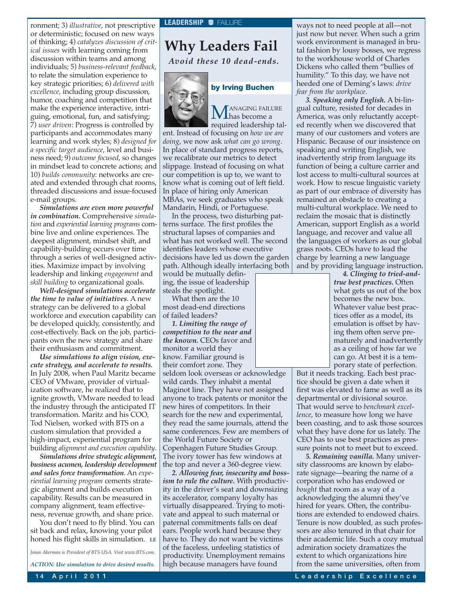ronment; 3) *illustrative*, not prescriptive or deterministic; focused on new ways of thinking; 4) *catalyzes discussion of critical issues* with learning coming from discussion within teams and among individuals; 5) *business-relevant feedback*, to relate the simulation experience to key strategic priorities; 6) *delivered with excellence,* including group discussion, humor, coaching and competition that make the experience interactive, intriguing, emotional, fun, and satisfying; 7) *user driven*: Progress is controlled by participants and accommodates many learning and work styles; 8) *designed for a specific target audience*, level and business need; 9) *outcome focused*, so changes in mindset lead to concrete actions; and 10) *builds community*: networks are created and extended through chat rooms, threaded discussions and issue-focused e-mail groups.

*Simulations are even more powerful in combination.* Comprehensive *simulation* and *experiential learning programs* combine live and online experiences. The deepest alignment, mindset shift, and capability-building occurs over time through a series of well-designed activities. Maximize impact by involving leadership and linking *engagement* and *skill building* to organizational goals.

*Well-designed simulations accelerate the time to value of initiatives*. A new strategy can be delivered to a global workforce and execution capability can be developed quickly, consistently, and cost-effectively. Back on the job, participants own the new strategy and share their enthusiasm and commitment.

*Use simulations to align vision, execute strategy, and accelerate to results.* In July 2008, when Paul Maritz became CEO of VMware, provider of virtualization software, he realized that to ignite growth, VMware needed to lead the industry through the anticipated IT transformation. Maritz and his COO, Tod Nielsen, worked with BTS on a custom simulation that provided a high-impact, experiential program for building *alignment and execution capability*.

*Simulations drive strategic alignment, business acumen, leadership development and sales force transformation*. An *experiential learning program* cements strategic alignment and builds execution capability. Results can be measured in company alignment, team effectiveness, revenue growth, and share price.

You don't need to fly blind. You can sit back and relax, knowing your pilot honed his flight skills in simulation. **LE**

*Jonas Akerman is President of BTS USA. Visit www.BTS.com.*

*ACTION: Use simulation to drive desired results.*

**Why Leaders Fail**

*Avoid these 10 dead-ends.*



# **by Irving Buchen**

MANAGING FAILURE has become a required leadership tal-

ent. Instead of focusing on *how we are doing*, we now ask *what can go wrong*. In place of standard progress reports, we recalibrate our metrics to detect slippage. Instead of focusing on what our competition is up to, we want to know what is coming out of left field. In place of hiring only American MBAs, we seek graduates who speak Mandarin, Hindi, or Portuguese.

In the process, two disturbing patterns surface. The first profiles the structural lapses of companies and what has not worked well. The second identifies leaders whose executive decisions have led us down the garden path. Although ideally interfacing both

would be mutually defining, the issue of leadership steals the spotlight.

What then are the 10 most dead-end directions of failed leaders?

*1. Limiting the range of competition to the near and the known.* CEOs favor and monitor a world they know. Familiar ground is their comfort zone. They

seldom look overseas or acknowledge wild cards. They inhabit a mental Maginot line. They have not assigned anyone to track patents or monitor the new hires of competitors. In their search for the new and experimental, they read the same journals, attend the same conferences. Few are members of the World Future Society or Copenhagen Future Studies Group. The ivory tower has few windows at the top and never a 360-degree view.

*2. Allowing fear, insecurity and bossism to rule the culture.* With productivity in the driver's seat and downsizing its accelerator, company loyalty has virtually disappeared. Trying to motivate and appeal to such maternal or paternal commitments falls on deaf ears. People work hard because they have to. They do not want be victims of the faceless, unfeeling statistics of productivity. Unemployment remains high because managers have found

ways not to need people at all—not just now but never. When such a grim work environment is managed in brutal fashion by lousy bosses, we regress to the workhouse world of Charles Dickens who called them "bullies of humility." To this day, we have not heeded one of Deming's laws: *drive fear from the workplace*.

*3. Speaking only English.* A bi-lingual culture, resisted for decades in America, was only reluctantly accepted recently when we discovered that many of our customers and voters are Hispanic. Because of our insistence on speaking and writing English, we inadvertently strip from language its function of being a culture carrier and lost access to multi-cultural sources at work. How to rescue linguistic variety as part of our embrace of diversity has remained an obstacle to creating a multi-cultural workplace. We need to reclaim the mosaic that is distinctly American, support English as a world language, and recover and value all the languages of workers as our global grass roots. CEOs have to lead the charge by learning a new language and by providing language instruction.

*4. Clinging to tried-andtrue best practices.* Often what gets us out of the box becomes the new box. Whatever value best practices offer as a model, its emulation is offset by having them often serve prematurely and inadvertently as a ceiling of how far we can go. At best it is a temporary state of perfection.

But it needs tracking. Each best practice should be given a date when it first was elevated to fame as well as its departmental or divisional source. That would serve to *benchmark excellence*, to measure how long we have been coasting, and to ask those sources what they have done for us lately. The CEO has to use best practices as pressure points not to meet but to exceed.

*5. Remaining vanilla.* Many university classrooms are known by elaborate signage—bearing the name of a corporation who has endowed or *bought* that room as a way of a acknowledging the alumni they've hired for years. Often, the contributions are extended to endowed chairs. Tenure is now doubled, as such professors are also tenured in that chair for their academic life. Such a cozy mutual admiration society dramatizes the extent to which organizations hire from the same universities, often from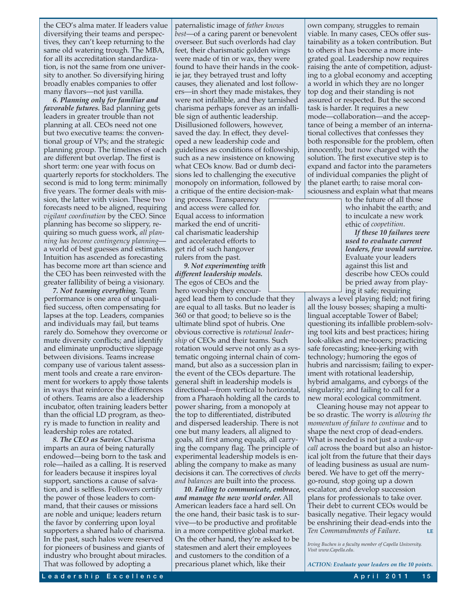the CEO's alma mater. If leaders value diversifying their teams and perspectives, they can't keep returning to the same old watering trough. The MBA, for all its accreditation standardization, is not the same from one university to another. So diversifying hiring broadly enables companies to offer many flavors—not just vanilla.

*6. Planning only for familiar and favorable futures.* Bad planning gets leaders in greater trouble than not planning at all. CEOs need not one but two executive teams: the conventional group of VPs; and the strategic planning group. The timelines of each are different but overlap. The first is short term: one year with focus on quarterly reports for stockholders. The second is mid to long term: minimally five years. The former deals with mission, the latter with vision. These two forecasts need to be aligned, requiring *vigilant coordination* by the CEO. Since planning has become so slippery, requiring so much guess work, *all planning has become contingency planning* a world of best guesses and estimates. Intuition has ascended as forecasting has become more art than science and the CEO has been reinvested with the greater fallibility of being a visionary.

*7. Not teaming everything.* Team performance is one area of unqualified success, often compensating for lapses at the top. Leaders, companies and individuals may fail, but teams rarely do. Somehow they overcome or mute diversity conflicts; and identify and eliminate unproductive slippage between divisions. Teams increase company use of various talent assessment tools and create a rare environment for workers to apply those talents in ways that reinforce the differences of others. Teams are also a leadership incubator, often training leaders better than the official LD program, as theory is made to function in reality and leadership roles are rotated.

*8. The CEO as Savior.* Charisma imparts an aura of being naturally endowed—being born to the task and role—hailed as a calling. It is reserved for leaders because it inspires loyal support, sanctions a cause of salvation, and is selfless. Followers certify the power of those leaders to command, that their causes or missions are noble and unique; leaders return the favor by conferring upon loyal supporters a shared halo of charisma. In the past, such halos were reserved for pioneers of business and giants of industry who brought about miracles. That was followed by adopting a

paternalistic image of *father knows best*—of a caring parent or benevolent overseer. But such overlords had clay feet, their charismatic golden wings were made of tin or wax, they were found to have their hands in the cookie jar, they betrayed trust and lofty causes, they alienated and lost followers—in short they made mistakes, they were not infallible, and they tarnished charisma perhaps forever as an infallible sign of authentic leadership. Disillusioned followers, however, saved the day. In effect, they developed a new leadership code and guidelines as conditions of followship, such as a new insistence on knowing what CEOs know. Bad or dumb decisions led to challenging the executive monopoly on information, followed by a critique of the entire decision-mak-

ing process. Transparency and access were called for. Equal access to information marked the end of uncritical charismatic leadership and accelerated efforts to get rid of such hangover rulers from the past.

*9. Not experimenting with different leadership models.* The egos of CEOs and the hero worship they encour-

aged lead them to conclude that they are equal to all tasks. But no leader is 360 or that good; to believe so is the ultimate blind spot of hubris. One obvious corrective is *rotational leadership* of CEOs and their teams. Such rotation would serve not only as a systematic ongoing internal chain of command, but also as a succession plan in the event of the CEOs departure. The general shift in leadership models is directional—from vertical to horizontal, from a Pharaoh holding all the cards to power sharing, from a monopoly at the top to differentiated, distributed and dispersed leadership. There is not one but many leaders, all aligned to goals, all first among equals, all carrying the company flag. The principle of experimental leadership models is enabling the company to make as many decisions it can. The correctives of *checks and balances* are built into the process.

*10. Failing to communicate, embrace, and manage the new world order.* All American leaders face a hard sell. On the one hand, their basic task is to survive—to be productive and profitable in a more competitive global market. On the other hand, they're asked to be statesmen and alert their employees and customers to the condition of a precarious planet which, like their

own company, struggles to remain viable. In many cases, CEOs offer sustainability as a token contribution. But to others it has become a more integrated goal. Leadership now requires raising the ante of competition, adjusting to a global economy and accepting a world in which they are no longer top dog and their standing is not assured or respected. But the second task is harder. It requires a new mode—collaboration—and the acceptance of being a member of an international collectives that confesses they both responsible for the problem, often innocently, but now charged with the solution. The first executive step is to expand and factor into the parameters of individual companies the plight of the planet earth; to raise moral consciousness and explain what that means

to the future of all those who inhabit the earth; and to inculcate a new work ethic of *coopetition*.

*If these 10 failures were used to evaluate current leaders, few would survive.* Evaluate your leaders against this list and describe how CEOs could be pried away from playing it safe; requiring

always a level playing field; not firing all the lousy bosses; shaping a multilingual acceptable Tower of Babel; questioning its infallible problem-solving tool kits and best practices; hiring look-alikes and me-tooers; practicing safe forecasting; knee-jerking with technology; humoring the egos of hubris and narcissism; failing to experiment with rotational leadership, hybrid amalgams, and cyborgs of the singularity; and failing to call for a new moral ecological commitment.

Cleaning house may not appear to be so drastic. The worry is *allowing the momentum of failure to continue* and to shape the next crop of dead-enders. What is needed is not just a *wake-up call* across the board but also an historical jolt from the future that their days of leading business as usual are numbered. We have to get off the merrygo-round, stop going up a down escalator, and develop succession plans for professionals to take over. Their debt to current CEOs would be basically negative. Their legacy would be enshrining their dead-ends into the *Ten Commandments of Failure*. **LE**

*Irving Buchen is a faculty member of Capella University. Visit www.Capella.edu.*

*ACTION: Evaluate your leaders on the 10 points.*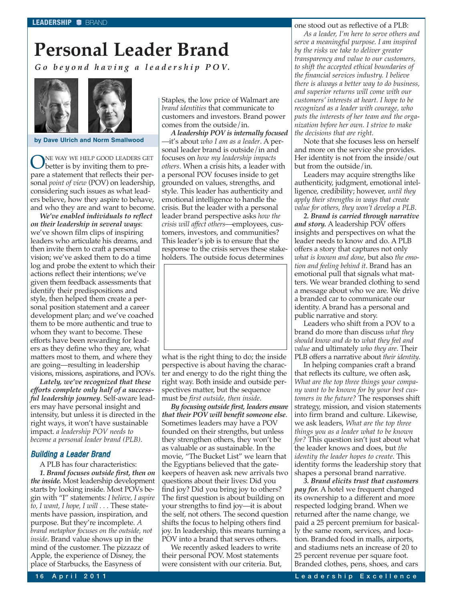# **Personal Leader Brand**

*Go beyond having a leadership POV.*



**by Dave Ulrich and Norm Smallwood**

ONE WAY WE HELP GOOD LEADERS GET<br>better is by inviting them to prepare a statement that reflects their personal *point of view* (POV) on leadership, considering such issues as what leaders believe, how they aspire to behave, and who they are and want to become.

*We've enabled individuals to reflect on their leadership in several ways*: we've shown film clips of inspiring leaders who articulate his dreams, and then invite them to craft a personal vision; we've asked them to do a time log and probe the extent to which their actions reflect their intentions; we've given them feedback assessments that identify their predispositions and style, then helped them create a personal position statement and a career development plan; and we've coached them to be more authentic and true to whom they want to become. These efforts have been rewarding for leaders as they define who they are, what matters most to them, and where they are going—resulting in leadership visions, missions, aspirations, and POVs.

*Lately, we've recognized that these efforts complete only half of a successful leadership journey*. Self-aware leaders may have personal insight and intensity, but unless it is directed in the right ways, it won't have sustainable impact. *a leadership POV needs to become a personal leader brand (PLB)*.

### Building a Leader Brand

A PLB has four characteristics: *1. Brand focuses outside first, then on the inside.* Most leadership development starts by looking inside. Most POVs begin with "I" statements: *I believe, I aspire to, I want, I hope, I will . . .* These statements have passion, inspiration, and purpose. But they're incomplete. *A brand metaphor focuses on the outside, not inside*. Brand value shows up in the mind of the customer. The pizzazz of Apple, the experience of Disney, the place of Starbucks, the Easyness of

Staples, the low price of Walmart are *brand identities* that communicate to customers and investors. Brand power comes from the outside/in.

*A leadership POV is internally focused* —it's about *who I am as a leader*. A personal leader brand is outside/in and focuses on *how my leadership impacts others*. When a crisis hits, a leader with a personal POV focuses inside to get grounded on values, strengths, and style. This leader has authenticity and emotional intelligence to handle the crisis. But the leader with a personal leader brand perspective asks *how the crisis will affect others*—employees, customers, investors, and communities? This leader's job is to ensure that the response to the crisis serves these stakeholders. The outside focus determines



what is the right thing to do; the inside perspective is about having the character and energy to do the right thing the right way. Both inside and outside perspectives matter, but the sequence must be *first outside, then inside*.

*By focusing outside first, leaders ensure that their POV will benefit someone else*. Sometimes leaders may have a POV founded on their strengths, but unless they strengthen others, they won't be as valuable or as sustainable. In the movie, "The Bucket List" we learn that the Egyptians believed that the gatekeepers of heaven ask new arrivals two questions about their lives: Did you find joy? Did you bring joy to others? The first question is about building on your strengths to find joy—it is about the self, not others. The second question shifts the focus to helping others find joy. In leadership, this means turning a POV into a brand that serves others.

We recently asked leaders to write their personal POV. Most statements were consistent with our criteria. But, one stood out as reflective of a PLB: *As a leader, I'm here to serve others and serve a meaningful purpose. I am inspired by the risks we take to deliver greater transparency and value to our customers, to shift the accepted ethical boundaries of the financial services industry. I believe there is always a better way to do business, and superior returns will come with our customers' interests at heart. I hope to be recognized as a leader with courage, who puts the interests of her team and the organization before her own. I strive to make the decisions that are right.*

Note that she focuses less on herself and more on the service she provides. Her identity is not from the inside/out but from the outside/in.

Leaders may acquire strengths like authenticity, judgment, emotional intelligence, credibility; however, *until they apply their strengths in ways that create value for others, they won't develop a PLB*.

*2. Brand is carried through narrative and story.* A leadership POV offers insights and perspectives on what the leader needs to know and do. A PLB offers a story that captures not only *what is known and done*, but also *the emotion and feeling behind it*. Brand has an emotional pull that signals what matters. We wear branded clothing to send a message about who we are. We drive a branded car to communicate our identity. A brand has a personal and public narrative and story.

Leaders who shift from a POV to a brand do more than discuss *what they should know and do* to *what they feel and value* and ultimately *who they are*. Their PLB offers a narrative about *their identity*.

In helping companies craft a brand that reflects its culture, we often ask, *What are the top three things your company want to be known for by your best customers in the future?* The responses shift strategy, mission, and vision statements into firm brand and culture. Likewise, we ask leaders, *What are the top three things you as a leader what to be known for?* This question isn't just about what the leader knows and does, but *the identity the leader hopes to create*. This identity forms the leadership story that shapes a personal brand narrative.

*3. Brand elicits trust that customers pay for.* A hotel we frequent changed its ownership to a different and more respected lodging brand. When we returned after the name change, we paid a 25 percent premium for basically the same room, services, and location. Branded food in malls, airports, and stadiums nets an increase of 20 to 25 percent revenue per square foot. Branded clothes, pens, shoes, and cars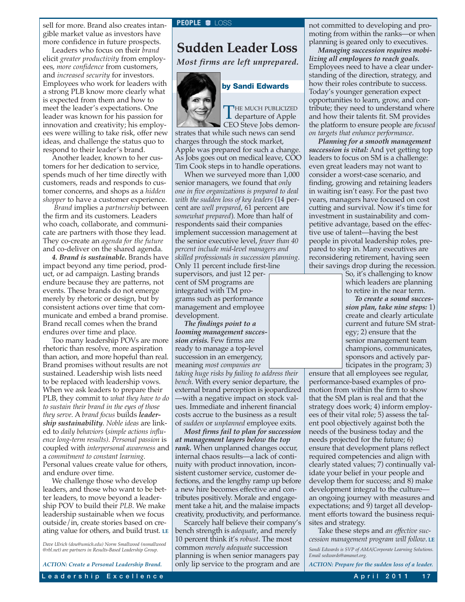sell for more. Brand also creates intan-**PEOPLE O** LOSS gible market value as investors have more confidence in future prospects.

Leaders who focus on their *brand* elicit *greater productivity* from employees, *more confidence* from customers, and *increased security* for investors. Employees who work for leaders with a strong PLB know more clearly what is expected from them and how to meet the leader's expectations. One leader was known for his passion for innovation and creativity; his employees were willing to take risk, offer new ideas, and challenge the status quo to respond to their leader's brand.

Another leader, known to her customers for her dedication to service, spends much of her time directly with customers, reads and responds to customer concerns, and shops as a *hidden shopper* to have a customer experience.

*Brand* implies a *partnership* between the firm and its customers. Leaders who coach, collaborate, and communicate are partners with those they lead. They co-create an *agenda for the future* and co-deliver on the shared agenda.

*4. Brand is sustainable.* Brands have impact beyond any time period, product, or ad campaign. Lasting brands endure because they are patterns, not events. These brands do not emerge merely by rhetoric or design, but by consistent actions over time that communicate and embed a brand promise. Brand recall comes when the brand endures over time and place.

Too many leadership POVs are more rhetoric than resolve, more aspiration than action, and more hopeful than real. Brand promises without results are not sustained. Leadership wish lists need to be replaced with leadership vows. When we ask leaders to prepare their PLB, they commit to *what they have to do to sustain their brand in the eyes of those they serve*. A *brand focus* builds *leadership sustainability*. *Noble ideas* are linked to *daily behaviors* (*simple actions influence long-term results)*. *Personal passion* is coupled with *interpersonal awareness* and a *commitment to constant learning*. Personal values create value for others, and endure over time.

We challenge those who develop leaders, and those who want to be better leaders, to move beyond a leadership POV to build their *PLB*. We make leadership sustainable when we focus outside/in, create stories based on creating value for others, and build trust. **LE**

*ACTION: Create a Personal Leadership Brand.*

### **Sudden Leader Loss**

*Most firms are left unprepared.*



### **by Sandi Edwards**

THE MUCH PUBLICIZED<br>departure of Apple<br>CEO Stress John James CEO Steve Jobs demon-

strates that while such news can send charges through the stock market, Apple was prepared for such a change. As Jobs goes out on medical leave, COO Tim Cook steps in to handle operations.

When we surveyed more than 1,000 senior managers, we found that *only one in five organizations is prepared to deal with the sudden loss of key leaders* (14 percent are *well prepared*, 61 percent are *somewhat prepared*). More than half of respondents said their companies implement succession management at the senior executive level, *fewer than 40 percent include mid-level managers and skilled professionals in succession planning*. Only 11 percent include first-line

supervisors, and just 12 percent of SM programs are integrated with TM programs such as performance management and employee development.

*The findings point to a looming management succession crisis.* Few firms are ready to manage a top-level succession in an emergency, meaning *most companies are*

*taking huge risks by failing to address their bench*. With every senior departure, the external brand perception is jeopardized —with a negative impact on stock values. Immediate and inherent financial costs accrue to the business as a result of *sudden* or *unplanned* employee exits.

*Most firms fail to plan for succession at management layers below the top rank.* When unplanned changes occur, internal chaos results—a lack of continuity with product innovation, inconsistent customer service, customer defections, and the lengthy ramp up before a new hire becomes effective and contributes positively. Morale and engagement take a hit, and the malaise impacts creativity, productivity, and performance.

Scarcely half believe their company's bench strength is *adequate*, and merely 10 percent think it's *robust*. The most common *merely adequate* succession planning is when senior managers pay only lip service to the program and are

not committed to developing and promoting from within the ranks—or when planning is geared only to executives.

*Managing succession requires mobilizing all employees to reach goals.* Employees need to have a clear understanding of the direction, strategy, and how their roles contribute to success. Today's younger generation expect opportunities to learn, grow, and contribute; they need to understand where and how their talents fit. SM provides the platform to ensure people are *focused on targets that enhance performance*.

*Planning for a smooth management succession is vital:* And yet getting top leaders to focus on SM is a challenge: even great leaders may not want to consider a worst-case scenario, and finding, growing and retaining leaders in waiting isn't easy. For the past two years, managers have focused on cost cutting and survival. Now it's time for investment in sustainability and competitive advantage, based on the effective use of talent—having the best people in pivotal leadership roles, prepared to step in. Many executives are reconsidering retirement, having seen their savings drop during the recession.

> So, it's challenging to know which leaders are planning to retire in the near term.

*To create a sound succession plan, take nine steps:* 1) create and clearly articulate current and future SM strategy; 2) ensure that the senior management team champions, communicates, sponsors and actively participates in the program; 3)

ensure that all employees see regular, performance-based examples of promotion from within the firm to show that the SM plan is real and that the strategy does work; 4) inform employees of their vital role; 5) assess the talent pool objectively against both the needs of the business today and the needs projected for the future; 6) ensure that development plans reflect required competencies and align with clearly stated values; 7) continually validate your belief in your people and develop them for success; and 8) make development integral to the culture an ongoing journey with measures and expectations; and 9) target all development efforts toward the business requisites and strategy.

Take these steps and *an effective succession management program will follow*. **LE**

*Sandi Edwards is SVP of AMA/Corporate Learning Solutions. Email sedwards@amanet.org.*

*ACTION: Prepare for the sudden loss of a leader.*

*Dave Ulrich (dou@umich.edu) Norm Smallwood (nsmallwood @rbl.net) are partners in Results-Based Leadership Group.*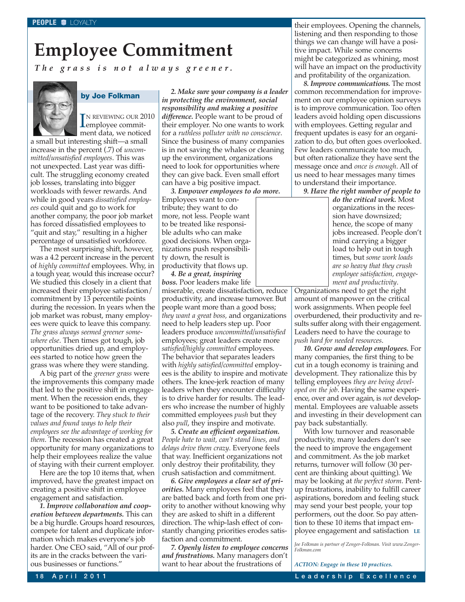# **Employee Commitment**

*The grass is not always greener.*



### **by Joe Folkman**

IN REVIEWING OUR 20<br>
employee commit-N REVIEWING OUR 2010 ment data, we noticed

a small but interesting shift—a small increase in the percent (.7) of *uncommitted/unsatisfied employees*. This was not unexpected. Last year was difficult. The struggling economy created job losses, translating into bigger workloads with fewer rewards. And while in good years *dissatisfied employees* could quit and go to work for another company, the poor job market has forced dissatisfied employees to "quit and stay," resulting in a higher percentage of unsatisfied workforce.

The most surprising shift, however, was a 4.2 percent increase in the percent of *highly committed* employees. Why, in a tough year, would this increase occur? We studied this closely in a client that increased their employee satisfaction/ commitment by 13 percentile points during the recession. In years when the job market was robust, many employees were quick to leave this company. *The grass always seemed greener somewhere else*. Then times got tough, job opportunities dried up, and employees started to notice how green the grass was where they were standing.

A big part of the *greener grass* were the improvements this company made that led to the positive shift in engagement. When the recession ends, they want to be positioned to take advantage of the recovery. *They stuck to their values and found ways to help their employees see the advantage of working for them*. The recession has created a great opportunity for many organizations to help their employees realize the value of staying with their current employer.

Here are the top 10 items that, when improved, have the greatest impact on creating a positive shift in employee engagement and satisfaction.

*1. Improve collaboration and cooperation between departments.* This can be a big hurdle. Groups hoard resources, compete for talent and duplicate information which makes everyone's job harder. One CEO said, "All of our profits are in the cracks between the various businesses or functions."

*2. Make sure your company is a leader in protecting the environment, social responsibility and making a positive difference.* People want to be proud of their employer. No one wants to work for a *ruthless polluter with no conscience*. Since the business of many companies is in not saving the whales or cleaning up the environment, organizations need to look for opportunities where they can give back. Even small effort can have a big positive impact.

*3. Empower employees to do more.* Employees want to contribute; they want to do more, not less. People want to be treated like responsible adults who can make good decisions. When organizations push responsibility down, the result is productivity that flows up.

*4. Be a great, inspiring boss.* Poor leaders make life miserable, create dissatisfaction, reduce productivity, and increase turnover. But people want more than a good boss; *they want a great boss,* and organizations need to help leaders step up. Poor leaders produce *uncommitted/unsatisfied* employees; great leaders create more *satisfied/highly committed* employees. The behavior that separates leaders with *highly satisfied/committed* employees is the ability to inspire and motivate others. The knee-jerk reaction of many leaders when they encounter difficulty is to drive harder for results. The leaders who increase the number of highly committed employees *push* but they also *pull*, they inspire and motivate.

*5. Create an efficient organization. People hate to wait, can't stand lines, and delays drive them crazy*. Everyone feels that way. Inefficient organizations not only destroy their profitability, they crush satisfaction and commitment.

*6. Give employees a clear set of priorities.* Many employees feel that they are batted back and forth from one priority to another without knowing why they are asked to shift in a different direction. The whip-lash effect of constantly changing priorities erodes satisfaction and commitment.

*7. Openly listen to employee concerns and frustrations.* Many managers don't want to hear about the frustrations of

their employees. Opening the channels, listening and then responding to those things we can change will have a positive impact. While some concerns might be categorized as whining, most will have an impact on the productivity and profitability of the organization.

*8. Improve communications.* The most common recommendation for improvement on our employee opinion surveys is to improve communication. Too often leaders avoid holding open discussions with employees. Getting regular and frequent updates is easy for an organization to do, but often goes overlooked. Few leaders communicate too much, but often rationalize they have sent the message once and *once is enough*. All of us need to hear messages many times to understand their importance.

*9. Have the right number of people to*

*do the critical work.* Most organizations in the recession have downsized; hence, the scope of many jobs increased. People don't mind carrying a bigger load to help out in tough times, but *some work loads are so heavy that they crush employee satisfaction, engagement and productivity*.

Organizations need to get the right amount of manpower on the critical work assignments. When people feel overburdened, their productivity and results suffer along with their engagement. Leaders need to have the courage to *push hard for needed resources*.

*10. Grow and develop employees.* For many companies, the first thing to be cut in a tough economy is training and development. They rationalize this by telling employees *they are being developed on the job*. Having the same experience, over and over again, is *not* developmental. Employees are valuable assets and investing in their development can pay back substantially.

With low turnover and reasonable productivity, many leaders don't see the need to improve the engagement and commitment. As the job market returns, turnover will follow (30 percent are thinking about quitting). We may be looking at *the perfect storm*. Pentup frustrations, inability to fulfill career aspirations, boredom and feeling stuck may send your best people, your top performers, out the door. So pay attention to these 10 items that impact employee engagement and satisfaction **LE**

*Joe Folkman is partner of Zenger-Folkman. Visit www.Zenger-Folkman.com*

*ACTION: Engage in these 10 practices.*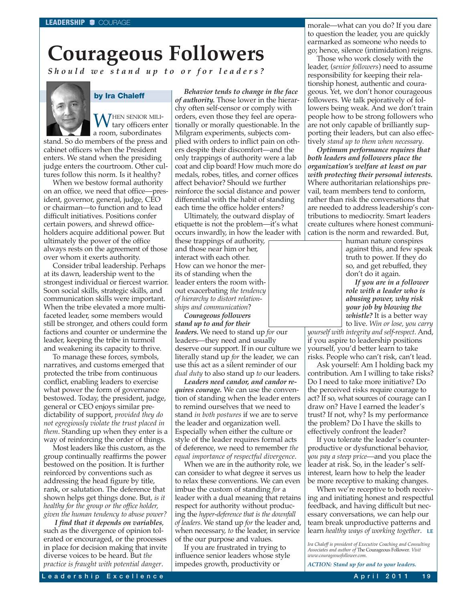# **Courageous Followers**

*Should we stand up to or for leaders?*



### **by Ira Chaleff**

WHEN SENIOR MILItary officers enter a room, subordinates stand. So do members of the press and cabinet officers when the President enters. We stand when the presiding judge enters the courtroom. Other cultures follow this norm. Is it healthy?

When we bestow formal authority on an office, we need that office—president, governor, general, judge, CEO or chairman—to function and to lead difficult initiatives. Positions confer certain powers, and shrewd officeholders acquire additional power. But ultimately the power of the office always rests on the agreement of those over whom it exerts authority.

Consider tribal leadership. Perhaps at its dawn, leadership went to the strongest individual or fiercest warrior. Soon social skills, strategic skills, and communication skills were important. When the tribe elevated a more multifaceted leader, some members would still be stronger, and others could form factions and counter or undermine the leader, keeping the tribe in turmoil and weakening its capacity to thrive.

To manage these forces, symbols, narratives, and customs emerged that protected the tribe from continuous conflict, enabling leaders to exercise what power the form of governance bestowed. Today, the president, judge, general or CEO enjoys similar predictability of support, *provided they do not egregiously violate the trust placed in them*. Standing up when they enter is a way of reinforcing the order of things.

Most leaders like this custom, as the group continually reaffirms the power bestowed on the position. It is further reinforced by conventions such as addressing the head figure by title, rank, or salutation. The deference that shown helps get things done. But, *is it healthy for the group or the office holder, given the human tendency to abuse power?*

*I find that it depends on variables*, such as the divergence of opinion tolerated or encouraged, or the processes in place for decision making that invite diverse voices to be heard. But *the practice is fraught with potential danger*.

*Behavior tends to change in the face of authority.* Those lower in the hierarchy often self-censor or comply with orders, even those they feel are operationally or morally questionable. In the Milgram experiments, subjects complied with orders to inflict pain on others despite their discomfort—and the only trappings of authority were a lab coat and clip board! How much more do medals, robes, titles, and corner offices affect behavior? Should we further reinforce the social distance and power differential with the habit of standing each time the office holder enters?

Ultimately, the outward display of etiquette is not the problem—it's what occurs inwardly, in how the leader with

these trappings of authority, and those near him or her, interact with each other. How can we honor the merits of standing when the leader enters the room without exacerbating *the tendency of hierarchy to distort relationships and communication*?

*Courageous followers stand up to and for their*

*leaders.* We need to stand up *for* our leaders—they need and usually deserve our support. If in our culture we literally stand up *for* the leader, we can use this act as a silent reminder of our *dual duty* to also stand up *to* our leaders.

*Leaders need candor, and candor requires courage.* We can use the convention of standing when the leader enters to remind ourselves that we need to stand *in both postures* if we are to serve the leader and organization well. Especially when either the culture or style of the leader requires formal acts of deference, we need to remember *the equal importance of respectful divergence*.

When we are in the authority role, we can consider to what degree it serves us to relax these conventions. We can even imbue the custom of standing *for* a leader with a dual meaning that retains respect for authority without producing the *hyper-deference that is the downfall of leaders*. We stand up *for* the leader and, when necessary, *to* the leader, in service of the our purpose and values.

If you are frustrated in trying to influence senior leaders whose style impedes growth, productivity or

morale—what can you do? If you dare to question the leader, you are quickly earmarked as someone who needs to go; hence, silence (intimidation) reigns.

Those who work closely with the leader, (*senior followers*) need to assume responsibility for keeping their relationship honest, authentic and courageous. Yet, we don't honor courageous followers. We talk pejoratively of followers being weak. And we don't train people how to be strong followers who are not only capable of brilliantly supporting their leaders, but can also effectively *stand up to them when necessary*.

*Optimum performance requires that both leaders and followers place the organization's welfare at least on par with protecting their personal interests.* Where authoritarian relationships prevail, team members tend to conform, rather than risk the conversations that are needed to address leadership's contributions to mediocrity. Smart leaders create cultures where honest communication is the norm and rewarded. But,

> human nature conspires against this, and few speak truth to power. If they do so, and get rebuffed, they don't do it again.

> *If you are in a follower role with a leader who is abusing power, why risk your job by blowing the whistle?* It is a better way to live. *Win or lose, you carry*

*yourself with integrity and self-respect*. And, if you aspire to leadership positions yourself, you'd better learn to take risks. People who can't risk, can't lead.

Ask yourself: Am I holding back my contribution. Am I willing to take risks? Do I need to take more initiative? Do the perceived risks require courage to act? If so, what sources of courage can I draw on? Have I earned the leader's trust? If not, why? Is my performance the problem? Do I have the skills to effectively confront the leader?

If you tolerate the leader's counterproductive or dysfunctional behavior, *you pay a steep price*—and you place the leader at risk. So, in the leader's selfinterest, learn how to help the leader be more receptive to making changes.

When we're receptive to both receiving and initiating honest and respectful feedback, and having difficult but necessary conversations, we can help our team break unproductive patterns and learn *healthy ways of working together*. **LE**

*Ira Chaleff is president of Executive Coaching and Consulting Associates and author of* The Courageous Follower*. Visit www.courageousfollower.com.*

*ACTION: Stand up for and to your leaders.*